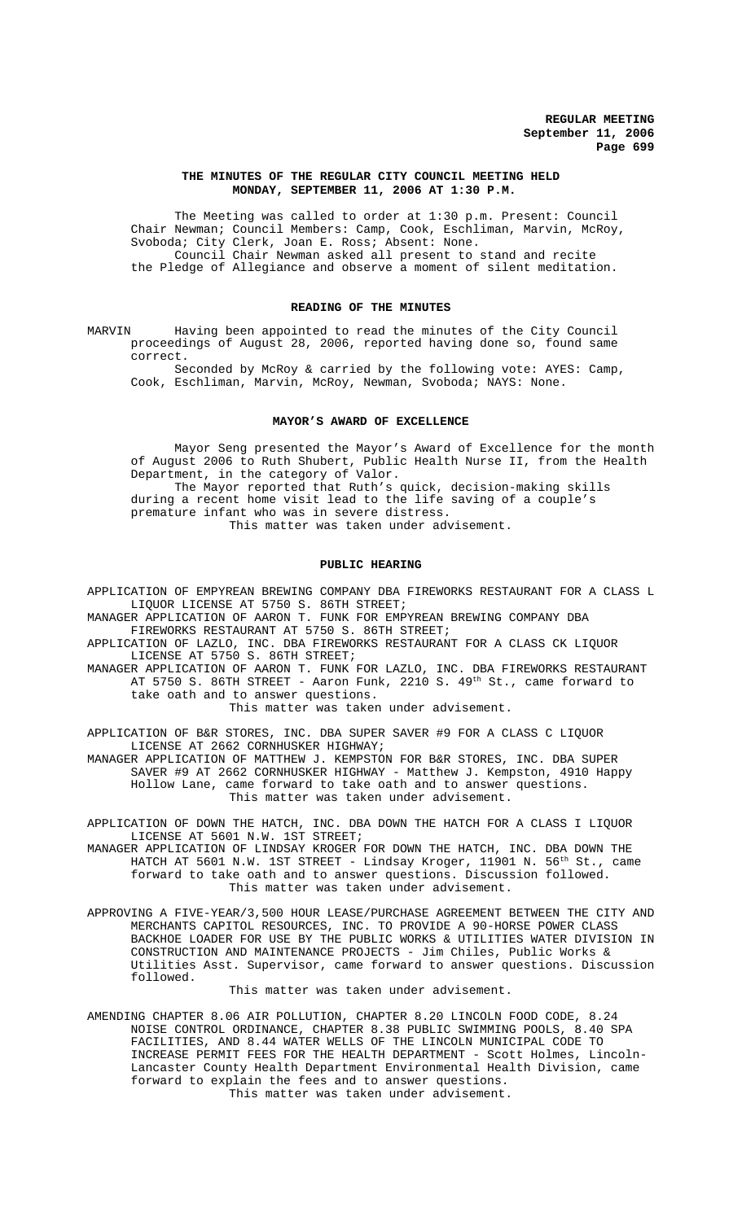### **THE MINUTES OF THE REGULAR CITY COUNCIL MEETING HELD MONDAY, SEPTEMBER 11, 2006 AT 1:30 P.M.**

The Meeting was called to order at 1:30 p.m. Present: Council Chair Newman; Council Members: Camp, Cook, Eschliman, Marvin, McRoy, Svoboda; City Clerk, Joan E. Ross; Absent: None. Council Chair Newman asked all present to stand and recite the Pledge of Allegiance and observe a moment of silent meditation.

### **READING OF THE MINUTES**

MARVIN Having been appointed to read the minutes of the City Council proceedings of August 28, 2006, reported having done so, found same correct.

Seconded by McRoy & carried by the following vote: AYES: Camp, Cook, Eschliman, Marvin, McRoy, Newman, Svoboda; NAYS: None.

#### **MAYOR'S AWARD OF EXCELLENCE**

Mayor Seng presented the Mayor's Award of Excellence for the month of August 2006 to Ruth Shubert, Public Health Nurse II, from the Health Department, in the category of Valor. The Mayor reported that Ruth's quick, decision-making skills during a recent home visit lead to the life saving of a couple's premature infant who was in severe distress. This matter was taken under advisement.

### **PUBLIC HEARING**

APPLICATION OF EMPYREAN BREWING COMPANY DBA FIREWORKS RESTAURANT FOR A CLASS L LIQUOR LICENSE AT 5750 S. 86TH STREET;

MANAGER APPLICATION OF AARON T. FUNK FOR EMPYREAN BREWING COMPANY DBA FIREWORKS RESTAURANT AT 5750 S. 86TH STREET;

APPLICATION OF LAZLO, INC. DBA FIREWORKS RESTAURANT FOR A CLASS CK LIQUOR LICENSE AT 5750 S. 86TH STREET;

MANAGER APPLICATION OF AARON T. FUNK FOR LAZLO, INC. DBA FIREWORKS RESTAURANT AT 5750 S. 86TH STREET - Aaron Funk, 2210 S. 49<sup>th</sup> St., came forward to take oath and to answer questions.

This matter was taken under advisement.

APPLICATION OF B&R STORES, INC. DBA SUPER SAVER #9 FOR A CLASS C LIQUOR LICENSE AT 2662 CORNHUSKER HIGHWAY;

MANAGER APPLICATION OF MATTHEW J. KEMPSTON FOR B&R STORES, INC. DBA SUPER SAVER #9 AT 2662 CORNHUSKER HIGHWAY - Matthew J. Kempston, 4910 Happy Hollow Lane, came forward to take oath and to answer questions. This matter was taken under advisement.

APPLICATION OF DOWN THE HATCH, INC. DBA DOWN THE HATCH FOR A CLASS I LIQUOR LICENSE AT 5601 N.W. 1ST STREET;

MANAGER APPLICATION OF LINDSAY KROGER FOR DOWN THE HATCH, INC. DBA DOWN THE HATCH AT 5601 N.W. 1ST STREET - Lindsay Kroger, 11901 N. 56<sup>th</sup> St., came forward to take oath and to answer questions. Discussion followed. This matter was taken under advisement.

APPROVING A FIVE-YEAR/3,500 HOUR LEASE/PURCHASE AGREEMENT BETWEEN THE CITY AND MERCHANTS CAPITOL RESOURCES, INC. TO PROVIDE A 90-HORSE POWER CLASS BACKHOE LOADER FOR USE BY THE PUBLIC WORKS & UTILITIES WATER DIVISION IN CONSTRUCTION AND MAINTENANCE PROJECTS - Jim Chiles, Public Works & Utilities Asst. Supervisor, came forward to answer questions. Discussion followed.

#### This matter was taken under advisement.

AMENDING CHAPTER 8.06 AIR POLLUTION, CHAPTER 8.20 LINCOLN FOOD CODE, 8.24 NOISE CONTROL ORDINANCE, CHAPTER 8.38 PUBLIC SWIMMING POOLS, 8.40 SPA FACILITIES, AND 8.44 WATER WELLS OF THE LINCOLN MUNICIPAL CODE TO INCREASE PERMIT FEES FOR THE HEALTH DEPARTMENT - Scott Holmes, Lincoln-Lancaster County Health Department Environmental Health Division, came forward to explain the fees and to answer questions. This matter was taken under advisement.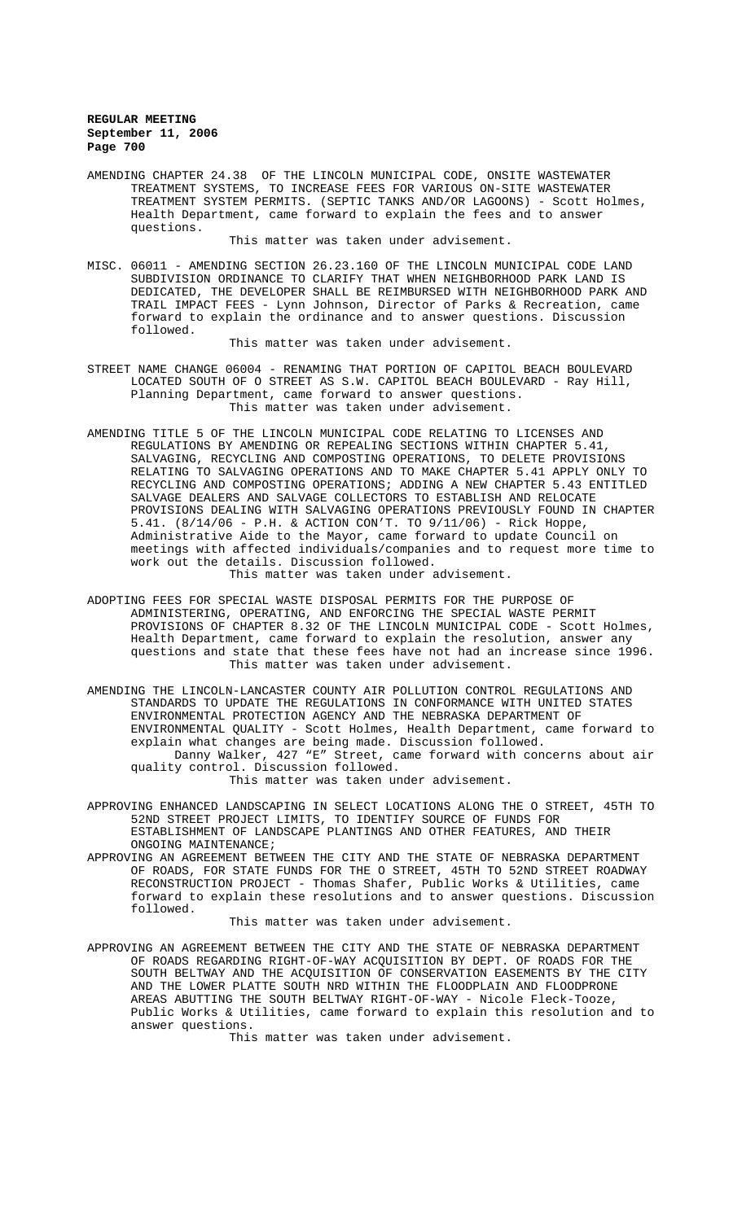AMENDING CHAPTER 24.38 OF THE LINCOLN MUNICIPAL CODE, ONSITE WASTEWATER TREATMENT SYSTEMS, TO INCREASE FEES FOR VARIOUS ON-SITE WASTEWATER TREATMENT SYSTEM PERMITS. (SEPTIC TANKS AND/OR LAGOONS) - Scott Holmes, Health Department, came forward to explain the fees and to answer questions.

This matter was taken under advisement.

MISC. 06011 - AMENDING SECTION 26.23.160 OF THE LINCOLN MUNICIPAL CODE LAND SUBDIVISION ORDINANCE TO CLARIFY THAT WHEN NEIGHBORHOOD PARK LAND IS DEDICATED, THE DEVELOPER SHALL BE REIMBURSED WITH NEIGHBORHOOD PARK AND TRAIL IMPACT FEES - Lynn Johnson, Director of Parks & Recreation, came forward to explain the ordinance and to answer questions. Discussion followed.

This matter was taken under advisement.

- STREET NAME CHANGE 06004 RENAMING THAT PORTION OF CAPITOL BEACH BOULEVARD LOCATED SOUTH OF O STREET AS S.W. CAPITOL BEACH BOULEVARD - Ray Hill, Planning Department, came forward to answer questions. This matter was taken under advisement.
- AMENDING TITLE 5 OF THE LINCOLN MUNICIPAL CODE RELATING TO LICENSES AND REGULATIONS BY AMENDING OR REPEALING SECTIONS WITHIN CHAPTER 5.41, SALVAGING, RECYCLING AND COMPOSTING OPERATIONS, TO DELETE PROVISIONS RELATING TO SALVAGING OPERATIONS AND TO MAKE CHAPTER 5.41 APPLY ONLY TO RECYCLING AND COMPOSTING OPERATIONS; ADDING A NEW CHAPTER 5.43 ENTITLED SALVAGE DEALERS AND SALVAGE COLLECTORS TO ESTABLISH AND RELOCATE PROVISIONS DEALING WITH SALVAGING OPERATIONS PREVIOUSLY FOUND IN CHAPTER 5.41. (8/14/06 - P.H. & ACTION CON'T. TO 9/11/06) - Rick Hoppe, Administrative Aide to the Mayor, came forward to update Council on meetings with affected individuals/companies and to request more time to work out the details. Discussion followed. This matter was taken under advisement.
- ADOPTING FEES FOR SPECIAL WASTE DISPOSAL PERMITS FOR THE PURPOSE OF ADMINISTERING, OPERATING, AND ENFORCING THE SPECIAL WASTE PERMIT PROVISIONS OF CHAPTER 8.32 OF THE LINCOLN MUNICIPAL CODE - Scott Holmes, Health Department, came forward to explain the resolution, answer any questions and state that these fees have not had an increase since 1996. This matter was taken under advisement.
- AMENDING THE LINCOLN-LANCASTER COUNTY AIR POLLUTION CONTROL REGULATIONS AND STANDARDS TO UPDATE THE REGULATIONS IN CONFORMANCE WITH UNITED STATES ENVIRONMENTAL PROTECTION AGENCY AND THE NEBRASKA DEPARTMENT OF ENVIRONMENTAL QUALITY - Scott Holmes, Health Department, came forward to explain what changes are being made. Discussion followed. Danny Walker, 427 "E" Street, came forward with concerns about air quality control. Discussion followed.

This matter was taken under advisement.

- APPROVING ENHANCED LANDSCAPING IN SELECT LOCATIONS ALONG THE O STREET, 45TH TO 52ND STREET PROJECT LIMITS, TO IDENTIFY SOURCE OF FUNDS FOR ESTABLISHMENT OF LANDSCAPE PLANTINGS AND OTHER FEATURES, AND THEIR ONGOING MAINTENANCE;
- APPROVING AN AGREEMENT BETWEEN THE CITY AND THE STATE OF NEBRASKA DEPARTMENT OF ROADS, FOR STATE FUNDS FOR THE O STREET, 45TH TO 52ND STREET ROADWAY RECONSTRUCTION PROJECT - Thomas Shafer, Public Works & Utilities, came forward to explain these resolutions and to answer questions. Discussion followed.

This matter was taken under advisement.

APPROVING AN AGREEMENT BETWEEN THE CITY AND THE STATE OF NEBRASKA DEPARTMENT OF ROADS REGARDING RIGHT-OF-WAY ACQUISITION BY DEPT. OF ROADS FOR THE SOUTH BELTWAY AND THE ACQUISITION OF CONSERVATION EASEMENTS BY THE CITY AND THE LOWER PLATTE SOUTH NRD WITHIN THE FLOODPLAIN AND FLOODPRONE AREAS ABUTTING THE SOUTH BELTWAY RIGHT-OF-WAY - Nicole Fleck-Tooze, Public Works & Utilities, came forward to explain this resolution and to answer questions.

This matter was taken under advisement.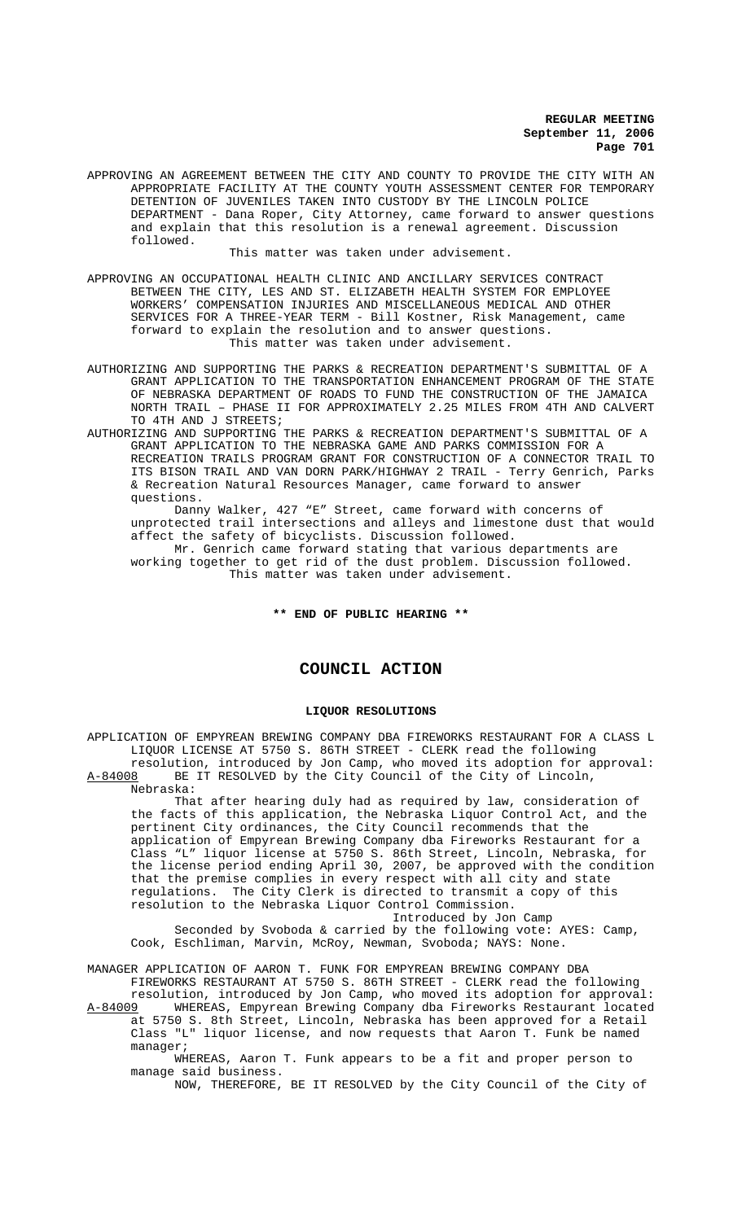APPROVING AN AGREEMENT BETWEEN THE CITY AND COUNTY TO PROVIDE THE CITY WITH AN APPROPRIATE FACILITY AT THE COUNTY YOUTH ASSESSMENT CENTER FOR TEMPORARY DETENTION OF JUVENILES TAKEN INTO CUSTODY BY THE LINCOLN POLICE DEPARTMENT - Dana Roper, City Attorney, came forward to answer questions and explain that this resolution is a renewal agreement. Discussion followed.

This matter was taken under advisement.

APPROVING AN OCCUPATIONAL HEALTH CLINIC AND ANCILLARY SERVICES CONTRACT BETWEEN THE CITY, LES AND ST. ELIZABETH HEALTH SYSTEM FOR EMPLOYEE WORKERS' COMPENSATION INJURIES AND MISCELLANEOUS MEDICAL AND OTHER SERVICES FOR A THREE-YEAR TERM - Bill Kostner, Risk Management, came forward to explain the resolution and to answer questions. This matter was taken under advisement.

AUTHORIZING AND SUPPORTING THE PARKS & RECREATION DEPARTMENT'S SUBMITTAL OF A GRANT APPLICATION TO THE TRANSPORTATION ENHANCEMENT PROGRAM OF THE STATE OF NEBRASKA DEPARTMENT OF ROADS TO FUND THE CONSTRUCTION OF THE JAMAICA NORTH TRAIL – PHASE II FOR APPROXIMATELY 2.25 MILES FROM 4TH AND CALVERT TO 4TH AND J STREETS;

AUTHORIZING AND SUPPORTING THE PARKS & RECREATION DEPARTMENT'S SUBMITTAL OF A GRANT APPLICATION TO THE NEBRASKA GAME AND PARKS COMMISSION FOR A RECREATION TRAILS PROGRAM GRANT FOR CONSTRUCTION OF A CONNECTOR TRAIL TO ITS BISON TRAIL AND VAN DORN PARK/HIGHWAY 2 TRAIL - Terry Genrich, Parks & Recreation Natural Resources Manager, came forward to answer questions.

Danny Walker, 427 "E" Street, came forward with concerns of unprotected trail intersections and alleys and limestone dust that would affect the safety of bicyclists. Discussion followed.

Mr. Genrich came forward stating that various departments are working together to get rid of the dust problem. Discussion followed. This matter was taken under advisement.

**\*\* END OF PUBLIC HEARING \*\***

# **COUNCIL ACTION**

### **LIQUOR RESOLUTIONS**

APPLICATION OF EMPYREAN BREWING COMPANY DBA FIREWORKS RESTAURANT FOR A CLASS L LIQUOR LICENSE AT 5750 S. 86TH STREET - CLERK read the following resolution, introduced by Jon Camp, who moved its adoption for approval:<br>A-84008 BE IT RESOLVED by the City Council of the City of Lincoln, BE IT RESOLVED by the City Council of the City of Lincoln, Nebraska:

That after hearing duly had as required by law, consideration of the facts of this application, the Nebraska Liquor Control Act, and the pertinent City ordinances, the City Council recommends that the application of Empyrean Brewing Company dba Fireworks Restaurant for a Class "L" liquor license at 5750 S. 86th Street, Lincoln, Nebraska, for the license period ending April 30, 2007, be approved with the condition that the premise complies in every respect with all city and state regulations. The City Clerk is directed to transmit a copy of this resolution to the Nebraska Liquor Control Commission.

Introduced by Jon Camp Seconded by Svoboda & carried by the following vote: AYES: Camp, Cook, Eschliman, Marvin, McRoy, Newman, Svoboda; NAYS: None.

MANAGER APPLICATION OF AARON T. FUNK FOR EMPYREAN BREWING COMPANY DBA

FIREWORKS RESTAURANT AT 5750 S. 86TH STREET - CLERK read the following resolution, introduced by Jon Camp, who moved its adoption for approval: A-84009 WHEREAS, Empyrean Brewing Company dba Fireworks Restaurant located at 5750 S. 8th Street, Lincoln, Nebraska has been approved for a Retail Class "L" liquor license, and now requests that Aaron T. Funk be named manager;

WHEREAS, Aaron T. Funk appears to be a fit and proper person to manage said business.

NOW, THEREFORE, BE IT RESOLVED by the City Council of the City of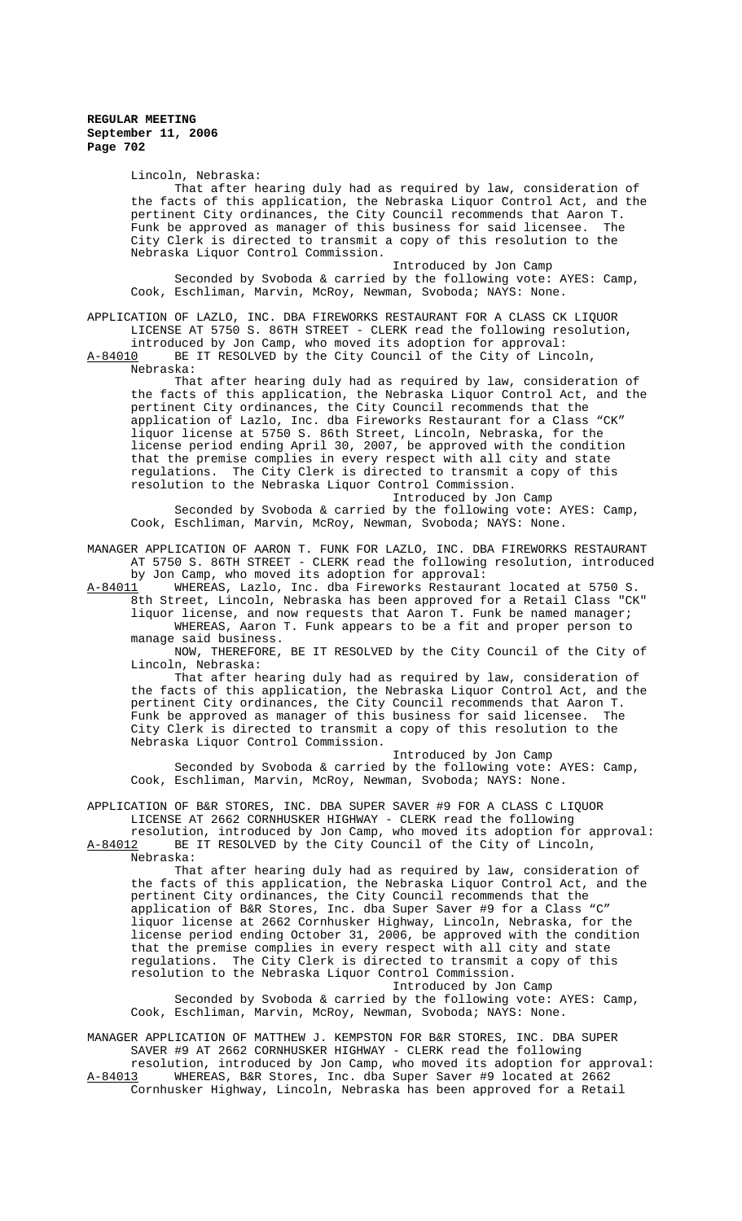Lincoln, Nebraska:

That after hearing duly had as required by law, consideration of the facts of this application, the Nebraska Liquor Control Act, and the pertinent City ordinances, the City Council recommends that Aaron T. Funk be approved as manager of this business for said licensee. City Clerk is directed to transmit a copy of this resolution to the Nebraska Liquor Control Commission.

Introduced by Jon Camp Seconded by Svoboda & carried by the following vote: AYES: Camp, Cook, Eschliman, Marvin, McRoy, Newman, Svoboda; NAYS: None.

APPLICATION OF LAZLO, INC. DBA FIREWORKS RESTAURANT FOR A CLASS CK LIQUOR LICENSE AT 5750 S. 86TH STREET - CLERK read the following resolution, introduced by Jon Camp, who moved its adoption for approval:

A-84010 BE IT RESOLVED by the City Council of the City of Lincoln, Nebraska:

That after hearing duly had as required by law, consideration of the facts of this application, the Nebraska Liquor Control Act, and the pertinent City ordinances, the City Council recommends that the application of Lazlo, Inc. dba Fireworks Restaurant for a Class "CK" liquor license at 5750 S. 86th Street, Lincoln, Nebraska, for the license period ending April 30, 2007, be approved with the condition that the premise complies in every respect with all city and state regulations. The City Clerk is directed to transmit a copy of this resolution to the Nebraska Liquor Control Commission. Introduced by Jon Camp

Seconded by Svoboda & carried by the following vote: AYES: Camp, Cook, Eschliman, Marvin, McRoy, Newman, Svoboda; NAYS: None.

MANAGER APPLICATION OF AARON T. FUNK FOR LAZLO, INC. DBA FIREWORKS RESTAURANT AT 5750 S. 86TH STREET - CLERK read the following resolution, introduced

by Jon Camp, who moved its adoption for approval:<br>A-84011 WHEREAS, Lazlo, Inc. dba Fireworks Restaura WHEREAS, Lazlo, Inc. dba Fireworks Restaurant located at 5750 S. 8th Street, Lincoln, Nebraska has been approved for a Retail Class "CK"

liquor license, and now requests that Aaron T. Funk be named manager; WHEREAS, Aaron T. Funk appears to be a fit and proper person to manage said business.

NOW, THEREFORE, BE IT RESOLVED by the City Council of the City of Lincoln, Nebraska:

That after hearing duly had as required by law, consideration of the facts of this application, the Nebraska Liquor Control Act, and the pertinent City ordinances, the City Council recommends that Aaron T. Funk be approved as manager of this business for said licensee. City Clerk is directed to transmit a copy of this resolution to the Nebraska Liquor Control Commission.

Introduced by Jon Camp Seconded by Svoboda & carried by the following vote: AYES: Camp, Cook, Eschliman, Marvin, McRoy, Newman, Svoboda; NAYS: None.

APPLICATION OF B&R STORES, INC. DBA SUPER SAVER #9 FOR A CLASS C LIQUOR LICENSE AT 2662 CORNHUSKER HIGHWAY - CLERK read the following

resolution, introduced by Jon Camp, who moved its adoption for approval: A-84012 BE IT RESOLVED by the City Council of the City of Lincoln, Nebraska:

That after hearing duly had as required by law, consideration of the facts of this application, the Nebraska Liquor Control Act, and the pertinent City ordinances, the City Council recommends that the application of B&R Stores, Inc. dba Super Saver #9 for a Class "C" liquor license at 2662 Cornhusker Highway, Lincoln, Nebraska, for the license period ending October 31, 2006, be approved with the condition that the premise complies in every respect with all city and state regulations. The City Clerk is directed to transmit a copy of this resolution to the Nebraska Liquor Control Commission. Introduced by Jon Camp

Seconded by Svoboda & carried by the following vote: AYES: Camp, Cook, Eschliman, Marvin, McRoy, Newman, Svoboda; NAYS: None.

MANAGER APPLICATION OF MATTHEW J. KEMPSTON FOR B&R STORES, INC. DBA SUPER SAVER #9 AT 2662 CORNHUSKER HIGHWAY - CLERK read the following

resolution, introduced by Jon Camp, who moved its adoption for approval: A-84013 WHEREAS, B&R Stores, Inc. dba Super Saver #9 located at 2662 Cornhusker Highway, Lincoln, Nebraska has been approved for a Retail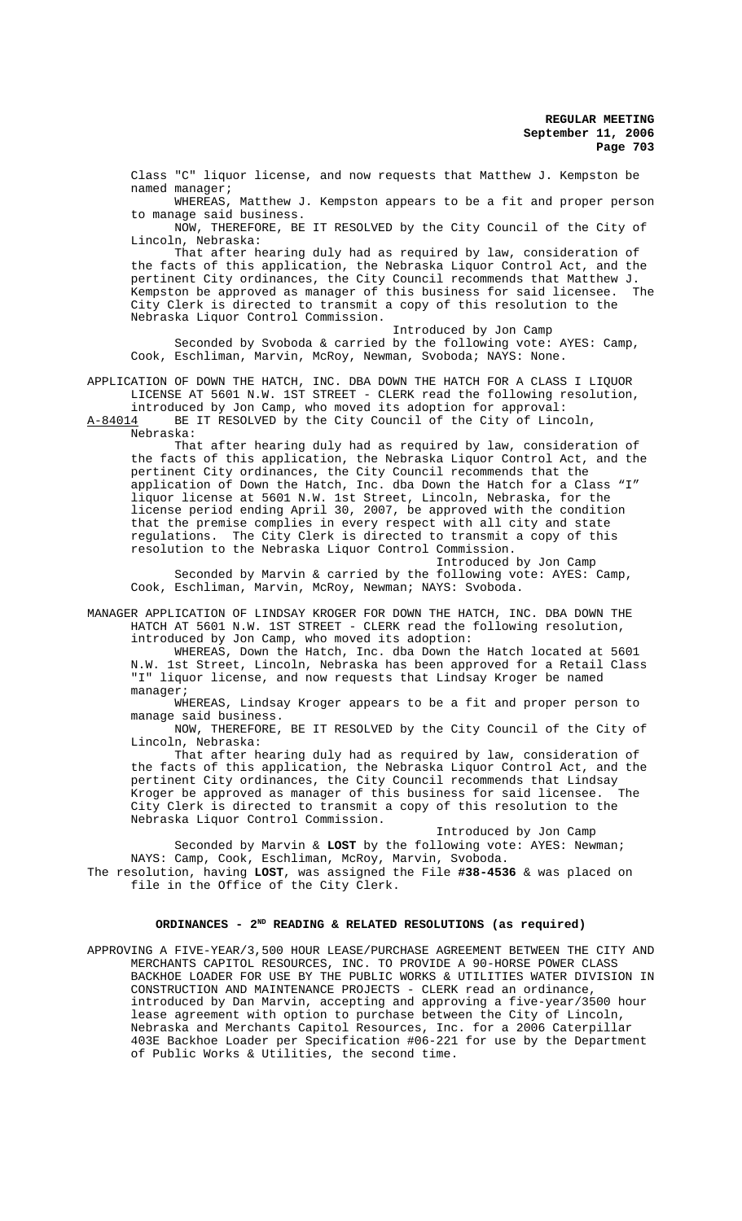Class "C" liquor license, and now requests that Matthew J. Kempston be named manager;

WHEREAS, Matthew J. Kempston appears to be a fit and proper person to manage said business.

NOW, THEREFORE, BE IT RESOLVED by the City Council of the City of Lincoln, Nebraska:

That after hearing duly had as required by law, consideration of the facts of this application, the Nebraska Liquor Control Act, and the pertinent City ordinances, the City Council recommends that Matthew J.<br>Kempston be approved as manager of this business for said licensee The Kempston be approved as manager of this business for said licensee. City Clerk is directed to transmit a copy of this resolution to the Nebraska Liquor Control Commission.

Introduced by Jon Camp

Seconded by Svoboda & carried by the following vote: AYES: Camp, Cook, Eschliman, Marvin, McRoy, Newman, Svoboda; NAYS: None.

APPLICATION OF DOWN THE HATCH, INC. DBA DOWN THE HATCH FOR A CLASS I LIQUOR LICENSE AT 5601 N.W. 1ST STREET - CLERK read the following resolution, introduced by Jon Camp, who moved its adoption for approval:

A-84014 BE IT RESOLVED by the City Council of the City of Lincoln,

Nebraska:

That after hearing duly had as required by law, consideration of the facts of this application, the Nebraska Liquor Control Act, and the pertinent City ordinances, the City Council recommends that the application of Down the Hatch, Inc. dba Down the Hatch for a Class "I" liquor license at 5601 N.W. 1st Street, Lincoln, Nebraska, for the license period ending April 30, 2007, be approved with the condition that the premise complies in every respect with all city and state regulations. The City Clerk is directed to transmit a copy of this resolution to the Nebraska Liquor Control Commission.

Introduced by Jon Camp Seconded by Marvin & carried by the following vote: AYES: Camp, Cook, Eschliman, Marvin, McRoy, Newman; NAYS: Svoboda.

MANAGER APPLICATION OF LINDSAY KROGER FOR DOWN THE HATCH, INC. DBA DOWN THE HATCH AT 5601 N.W. 1ST STREET - CLERK read the following resolution, introduced by Jon Camp, who moved its adoption:

WHEREAS, Down the Hatch, Inc. dba Down the Hatch located at 5601 N.W. 1st Street, Lincoln, Nebraska has been approved for a Retail Class "I" liquor license, and now requests that Lindsay Kroger be named manager;

WHEREAS, Lindsay Kroger appears to be a fit and proper person to manage said business.

NOW, THEREFORE, BE IT RESOLVED by the City Council of the City of Lincoln, Nebraska:

That after hearing duly had as required by law, consideration of the facts of this application, the Nebraska Liquor Control Act, and the pertinent City ordinances, the City Council recommends that Lindsay<br>Kroger be approved as manager of this business for said licensee. The Kroger be approved as manager of this business for said licensee. City Clerk is directed to transmit a copy of this resolution to the Nebraska Liquor Control Commission.

Introduced by Jon Camp Seconded by Marvin & **LOST** by the following vote: AYES: Newman; NAYS: Camp, Cook, Eschliman, McRoy, Marvin, Svoboda. The resolution, having **LOST**, was assigned the File **#38-4536** & was placed on file in the Office of the City Clerk.

### **ORDINANCES - 2ND READING & RELATED RESOLUTIONS (as required)**

APPROVING A FIVE-YEAR/3,500 HOUR LEASE/PURCHASE AGREEMENT BETWEEN THE CITY AND MERCHANTS CAPITOL RESOURCES, INC. TO PROVIDE A 90-HORSE POWER CLASS BACKHOE LOADER FOR USE BY THE PUBLIC WORKS & UTILITIES WATER DIVISION IN CONSTRUCTION AND MAINTENANCE PROJECTS - CLERK read an ordinance, introduced by Dan Marvin, accepting and approving a five-year/3500 hour lease agreement with option to purchase between the City of Lincoln, Nebraska and Merchants Capitol Resources, Inc. for a 2006 Caterpillar 403E Backhoe Loader per Specification #06-221 for use by the Department of Public Works & Utilities, the second time.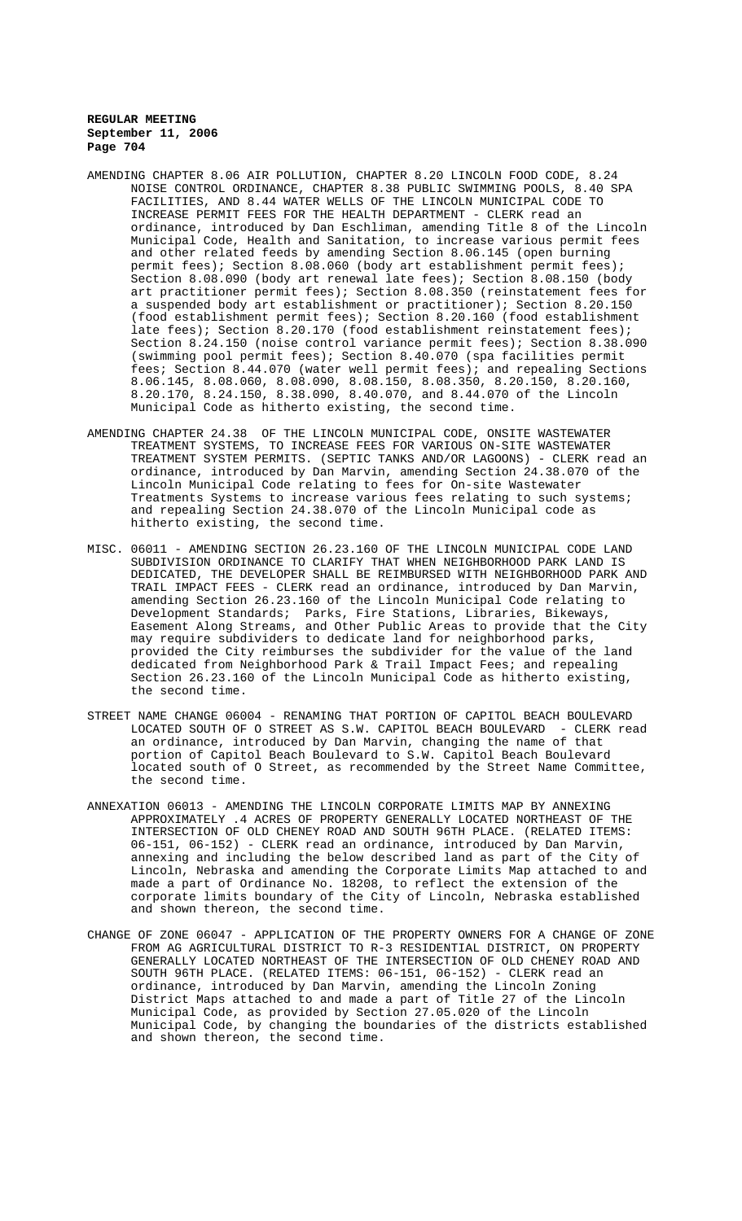- AMENDING CHAPTER 8.06 AIR POLLUTION, CHAPTER 8.20 LINCOLN FOOD CODE, 8.24 NOISE CONTROL ORDINANCE, CHAPTER 8.38 PUBLIC SWIMMING POOLS, 8.40 SPA FACILITIES, AND 8.44 WATER WELLS OF THE LINCOLN MUNICIPAL CODE TO INCREASE PERMIT FEES FOR THE HEALTH DEPARTMENT - CLERK read an ordinance, introduced by Dan Eschliman, amending Title 8 of the Lincoln Municipal Code, Health and Sanitation, to increase various permit fees and other related feeds by amending Section 8.06.145 (open burning permit fees); Section 8.08.060 (body art establishment permit fees); Section 8.08.090 (body art renewal late fees); Section 8.08.150 (body art practitioner permit fees); Section 8.08.350 (reinstatement fees for a suspended body art establishment or practitioner); Section 8.20.150 (food establishment permit fees); Section 8.20.160 (food establishment late fees); Section 8.20.170 (food establishment reinstatement fees); Section 8.24.150 (noise control variance permit fees); Section 8.38.090 (swimming pool permit fees); Section 8.40.070 (spa facilities permit fees; Section 8.44.070 (water well permit fees); and repealing Sections 8.06.145, 8.08.060, 8.08.090, 8.08.150, 8.08.350, 8.20.150, 8.20.160, 8.20.170, 8.24.150, 8.38.090, 8.40.070, and 8.44.070 of the Lincoln Municipal Code as hitherto existing, the second time.
- AMENDING CHAPTER 24.38 OF THE LINCOLN MUNICIPAL CODE, ONSITE WASTEWATER TREATMENT SYSTEMS, TO INCREASE FEES FOR VARIOUS ON-SITE WASTEWATER TREATMENT SYSTEM PERMITS. (SEPTIC TANKS AND/OR LAGOONS) - CLERK read an ordinance, introduced by Dan Marvin, amending Section 24.38.070 of the Lincoln Municipal Code relating to fees for On-site Wastewater Treatments Systems to increase various fees relating to such systems; and repealing Section 24.38.070 of the Lincoln Municipal code as hitherto existing, the second time.
- MISC. 06011 AMENDING SECTION 26.23.160 OF THE LINCOLN MUNICIPAL CODE LAND SUBDIVISION ORDINANCE TO CLARIFY THAT WHEN NEIGHBORHOOD PARK LAND IS DEDICATED, THE DEVELOPER SHALL BE REIMBURSED WITH NEIGHBORHOOD PARK AND TRAIL IMPACT FEES - CLERK read an ordinance, introduced by Dan Marvin, amending Section 26.23.160 of the Lincoln Municipal Code relating to Development Standards; Parks, Fire Stations, Libraries, Bikeways, Easement Along Streams, and Other Public Areas to provide that the City may require subdividers to dedicate land for neighborhood parks, provided the City reimburses the subdivider for the value of the land dedicated from Neighborhood Park & Trail Impact Fees; and repealing Section 26.23.160 of the Lincoln Municipal Code as hitherto existing, the second time.
- STREET NAME CHANGE 06004 RENAMING THAT PORTION OF CAPITOL BEACH BOULEVARD LOCATED SOUTH OF O STREET AS S.W. CAPITOL BEACH BOULEVARD - CLERK read an ordinance, introduced by Dan Marvin, changing the name of that portion of Capitol Beach Boulevard to S.W. Capitol Beach Boulevard located south of O Street, as recommended by the Street Name Committee, the second time.
- ANNEXATION 06013 AMENDING THE LINCOLN CORPORATE LIMITS MAP BY ANNEXING APPROXIMATELY .4 ACRES OF PROPERTY GENERALLY LOCATED NORTHEAST OF THE INTERSECTION OF OLD CHENEY ROAD AND SOUTH 96TH PLACE. (RELATED ITEMS: 06-151, 06-152) - CLERK read an ordinance, introduced by Dan Marvin, annexing and including the below described land as part of the City of Lincoln, Nebraska and amending the Corporate Limits Map attached to and made a part of Ordinance No. 18208, to reflect the extension of the corporate limits boundary of the City of Lincoln, Nebraska established and shown thereon, the second time.
- CHANGE OF ZONE 06047 APPLICATION OF THE PROPERTY OWNERS FOR A CHANGE OF ZONE FROM AG AGRICULTURAL DISTRICT TO R-3 RESIDENTIAL DISTRICT, ON PROPERTY GENERALLY LOCATED NORTHEAST OF THE INTERSECTION OF OLD CHENEY ROAD AND SOUTH 96TH PLACE. (RELATED ITEMS: 06-151, 06-152) - CLERK read an ordinance, introduced by Dan Marvin, amending the Lincoln Zoning District Maps attached to and made a part of Title 27 of the Lincoln Municipal Code, as provided by Section 27.05.020 of the Lincoln Municipal Code, by changing the boundaries of the districts established and shown thereon, the second time.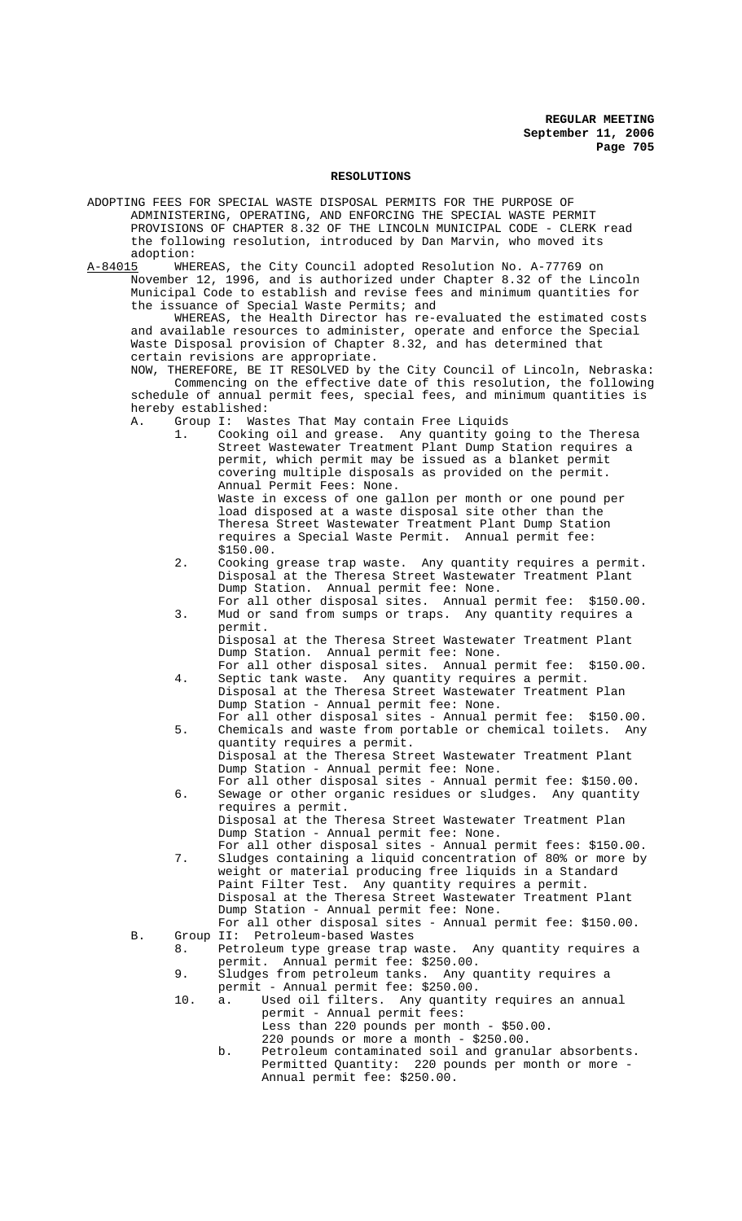### **RESOLUTIONS**

ADOPTING FEES FOR SPECIAL WASTE DISPOSAL PERMITS FOR THE PURPOSE OF ADMINISTERING, OPERATING, AND ENFORCING THE SPECIAL WASTE PERMIT PROVISIONS OF CHAPTER 8.32 OF THE LINCOLN MUNICIPAL CODE - CLERK read the following resolution, introduced by Dan Marvin, who moved its

adoption:<br><u>A-84015</u> WHE WHEREAS, the City Council adopted Resolution No. A-77769 on November 12, 1996, and is authorized under Chapter 8.32 of the Lincoln Municipal Code to establish and revise fees and minimum quantities for the issuance of Special Waste Permits; and

WHEREAS, the Health Director has re-evaluated the estimated costs and available resources to administer, operate and enforce the Special Waste Disposal provision of Chapter 8.32, and has determined that certain revisions are appropriate.

NOW, THEREFORE, BE IT RESOLVED by the City Council of Lincoln, Nebraska: Commencing on the effective date of this resolution, the following schedule of annual permit fees, special fees, and minimum quantities is hereby established:

A. Group I: Wastes That May contain Free Liquids

- 1. Cooking oil and grease. Any quantity going to the Theresa Street Wastewater Treatment Plant Dump Station requires a permit, which permit may be issued as a blanket permit covering multiple disposals as provided on the permit. Annual Permit Fees: None. Waste in excess of one gallon per month or one pound per load disposed at a waste disposal site other than the Theresa Street Wastewater Treatment Plant Dump Station requires a Special Waste Permit. Annual permit fee: \$150.00.
- 2. Cooking grease trap waste. Any quantity requires a permit. Disposal at the Theresa Street Wastewater Treatment Plant Dump Station. Annual permit fee: None.
- For all other disposal sites. Annual permit fee: \$150.00. 3. Mud or sand from sumps or traps. Any quantity requires a permit.

Disposal at the Theresa Street Wastewater Treatment Plant Dump Station. Annual permit fee: None.

- For all other disposal sites. Annual permit fee: \$150.00. 4. Septic tank waste. Any quantity requires a permit. Disposal at the Theresa Street Wastewater Treatment Plan Dump Station - Annual permit fee: None.
- For all other disposal sites Annual permit fee: \$150.00. 5. Chemicals and waste from portable or chemical toilets. Any quantity requires a permit. Disposal at the Theresa Street Wastewater Treatment Plant Dump Station - Annual permit fee: None.
- For all other disposal sites Annual permit fee: \$150.00. 6. Sewage or other organic residues or sludges. Any quantity requires a permit. Disposal at the Theresa Street Wastewater Treatment Plan Dump Station - Annual permit fee: None.
- For all other disposal sites Annual permit fees: \$150.00. 7. Sludges containing a liquid concentration of 80% or more by weight or material producing free liquids in a Standard Paint Filter Test. Any quantity requires a permit. Disposal at the Theresa Street Wastewater Treatment Plant Dump Station - Annual permit fee: None.
- For all other disposal sites Annual permit fee: \$150.00. B. Group II: Petroleum-based Wastes
	- 8. Petroleum type grease trap waste. Any quantity requires a permit. Annual permit fee: \$250.00.
	- 9. Sludges from petroleum tanks. Any quantity requires a permit - Annual permit fee: \$250.00.
	- 10. a. Used oil filters. Any quantity requires an annual permit - Annual permit fees: Less than 220 pounds per month - \$50.00.
		- 220 pounds or more a month  $$250.00$ . b. Petroleum contaminated soil and granular absorbents. Permitted Quantity: 220 pounds per month or more - Annual permit fee: \$250.00.
-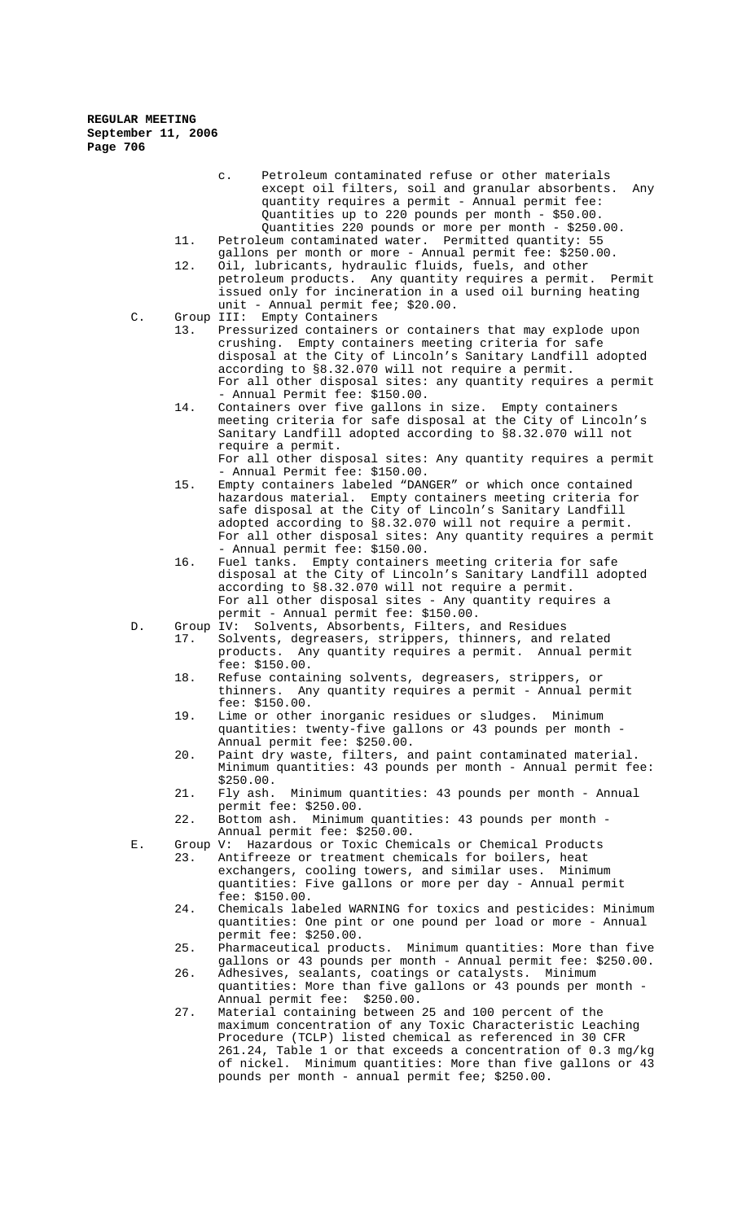- c. Petroleum contaminated refuse or other materials except oil filters, soil and granular absorbents. Any quantity requires a permit - Annual permit fee: Quantities up to 220 pounds per month - \$50.00. Quantities 220 pounds or more per month - \$250.00.
- 11. Petroleum contaminated water. Permitted quantity: 55 gallons per month or more - Annual permit fee: \$250.00.
- 12. Oil, lubricants, hydraulic fluids, fuels, and other petroleum products. Any quantity requires a permit. Permit issued only for incineration in a used oil burning heating unit - Annual permit fee; \$20.00.
- C. Group III: Empty Containers
	- 13. Pressurized containers or containers that may explode upon crushing. Empty containers meeting criteria for safe disposal at the City of Lincoln's Sanitary Landfill adopted according to §8.32.070 will not require a permit. For all other disposal sites: any quantity requires a permit - Annual Permit fee: \$150.00.
	- 14. Containers over five gallons in size. Empty containers meeting criteria for safe disposal at the City of Lincoln's Sanitary Landfill adopted according to §8.32.070 will not require a permit.

For all other disposal sites: Any quantity requires a permit - Annual Permit fee: \$150.00.

- 15. Empty containers labeled "DANGER" or which once contained hazardous material. Empty containers meeting criteria for safe disposal at the City of Lincoln's Sanitary Landfill adopted according to §8.32.070 will not require a permit. For all other disposal sites: Any quantity requires a permit - Annual permit fee: \$150.00.
- 16. Fuel tanks. Empty containers meeting criteria for safe disposal at the City of Lincoln's Sanitary Landfill adopted according to §8.32.070 will not require a permit. For all other disposal sites - Any quantity requires a permit - Annual permit fee: \$150.00.
- D. Group IV: Solvents, Absorbents, Filters, and Residues<br>17. Solvents, degreasers, strippers, thinners, and r Solvents, degreasers, strippers, thinners, and related<br>products. Any quantity requires a permit. Annual per Any quantity requires a permit. Annual permit fee: \$150.00.
	- 18. Refuse containing solvents, degreasers, strippers, or thinners. Any quantity requires a permit - Annual permit fee: \$150.00.
	- 19. Lime or other inorganic residues or sludges. Minimum quantities: twenty-five gallons or 43 pounds per month - Annual permit fee: \$250.00.
	- 20. Paint dry waste, filters, and paint contaminated material. Minimum quantities: 43 pounds per month - Annual permit fee: \$250.00.<br>Fly ash.
	- 21. Fly ash. Minimum quantities: 43 pounds per month Annual permit fee: \$250.00.
	- 22. Bottom ash. Minimum quantities: 43 pounds per month Annual permit fee: \$250.00.
- E. Group V: Hazardous or Toxic Chemicals or Chemical Products 23. Antifreeze or treatment chemicals for boilers, heat exchangers, cooling towers, and similar uses. Minimum quantities: Five gallons or more per day - Annual permit fee: \$150.00.
	- 24. Chemicals labeled WARNING for toxics and pesticides: Minimum quantities: One pint or one pound per load or more - Annual permit fee: \$250.00.
	- 25. Pharmaceutical products. Minimum quantities: More than five gallons or 43 pounds per month - Annual permit fee: \$250.00.
	- 26. Adhesives, sealants, coatings or catalysts. Minimum quantities: More than five gallons or 43 pounds per month - Annual permit fee: \$250.00.
	- 27. Material containing between 25 and 100 percent of the maximum concentration of any Toxic Characteristic Leaching Procedure (TCLP) listed chemical as referenced in 30 CFR 261.24, Table 1 or that exceeds a concentration of 0.3 mg/kg of nickel. Minimum quantities: More than five gallons or 43 pounds per month - annual permit fee; \$250.00.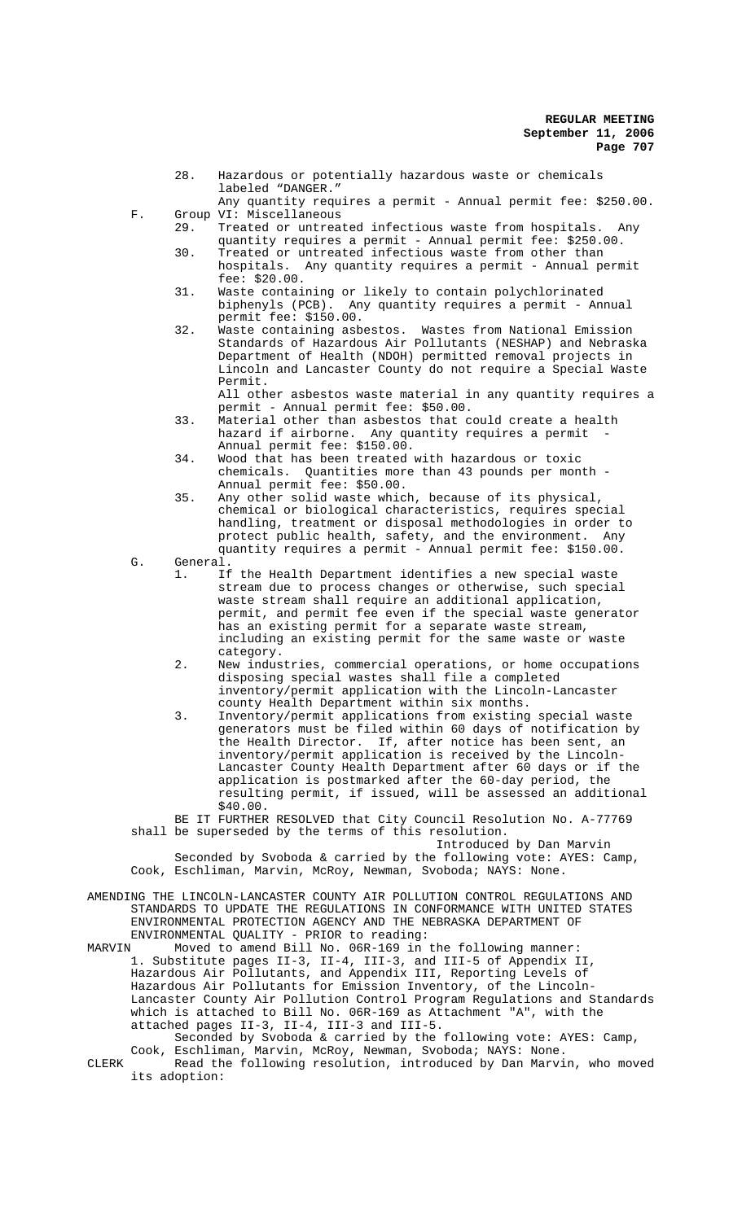- 28. Hazardous or potentially hazardous waste or chemicals labeled "DANGER." Any quantity requires a permit - Annual permit fee: \$250.00.
- 
- F. Group VI: Miscellaneous<br>29. Treated or untreat Treated or untreated infectious waste from hospitals. Any
	- quantity requires a permit Annual permit fee: \$250.00. 30. Treated or untreated infectious waste from other than hospitals. Any quantity requires a permit - Annual permit fee: \$20.00.
	- 31. Waste containing or likely to contain polychlorinated biphenyls (PCB). Any quantity requires a permit - Annual permit fee: \$150.00.
	- 32. Waste containing asbestos. Wastes from National Emission Standards of Hazardous Air Pollutants (NESHAP) and Nebraska Department of Health (NDOH) permitted removal projects in Lincoln and Lancaster County do not require a Special Waste Permit.

All other asbestos waste material in any quantity requires a permit - Annual permit fee: \$50.00.

- 33. Material other than asbestos that could create a health hazard if airborne. Any quantity requires a permit Annual permit fee: \$150.00.
- 34. Wood that has been treated with hazardous or toxic chemicals. Quantities more than 43 pounds per month - Annual permit fee: \$50.00.
- 35. Any other solid waste which, because of its physical, chemical or biological characteristics, requires special handling, treatment or disposal methodologies in order to protect public health, safety, and the environment. Any quantity requires a permit - Annual permit fee: \$150.00.

G. General.

- 1. If the Health Department identifies a new special waste stream due to process changes or otherwise, such special waste stream shall require an additional application, permit, and permit fee even if the special waste generator has an existing permit for a separate waste stream, including an existing permit for the same waste or waste category.
- 2. New industries, commercial operations, or home occupations disposing special wastes shall file a completed inventory/permit application with the Lincoln-Lancaster county Health Department within six months.
- 3. Inventory/permit applications from existing special waste generators must be filed within 60 days of notification by the Health Director. If, after notice has been sent, an inventory/permit application is received by the Lincoln-Lancaster County Health Department after 60 days or if the application is postmarked after the 60-day period, the resulting permit, if issued, will be assessed an additional \$40.00.

BE IT FURTHER RESOLVED that City Council Resolution No. A-77769 shall be superseded by the terms of this resolution.

Introduced by Dan Marvin

Seconded by Svoboda & carried by the following vote: AYES: Camp, Cook, Eschliman, Marvin, McRoy, Newman, Svoboda; NAYS: None.

- AMENDING THE LINCOLN-LANCASTER COUNTY AIR POLLUTION CONTROL REGULATIONS AND STANDARDS TO UPDATE THE REGULATIONS IN CONFORMANCE WITH UNITED STATES ENVIRONMENTAL PROTECTION AGENCY AND THE NEBRASKA DEPARTMENT OF ENVIRONMENTAL QUALITY - PRIOR to reading:
- MARVIN Moved to amend Bill No. 06R-169 in the following manner: 1. Substitute pages II-3, II-4, III-3, and III-5 of Appendix II, Hazardous Air Pollutants, and Appendix III, Reporting Levels of Hazardous Air Pollutants for Emission Inventory, of the Lincoln-Lancaster County Air Pollution Control Program Regulations and Standards which is attached to Bill No. 06R-169 as Attachment "A", with the attached pages II-3, II-4, III-3 and III-5. Seconded by Svoboda & carried by the following vote: AYES: Camp,

Cook, Eschliman, Marvin, McRoy, Newman, Svoboda; NAYS: None. CLERK Read the following resolution, introduced by Dan Marvin, who moved its adoption: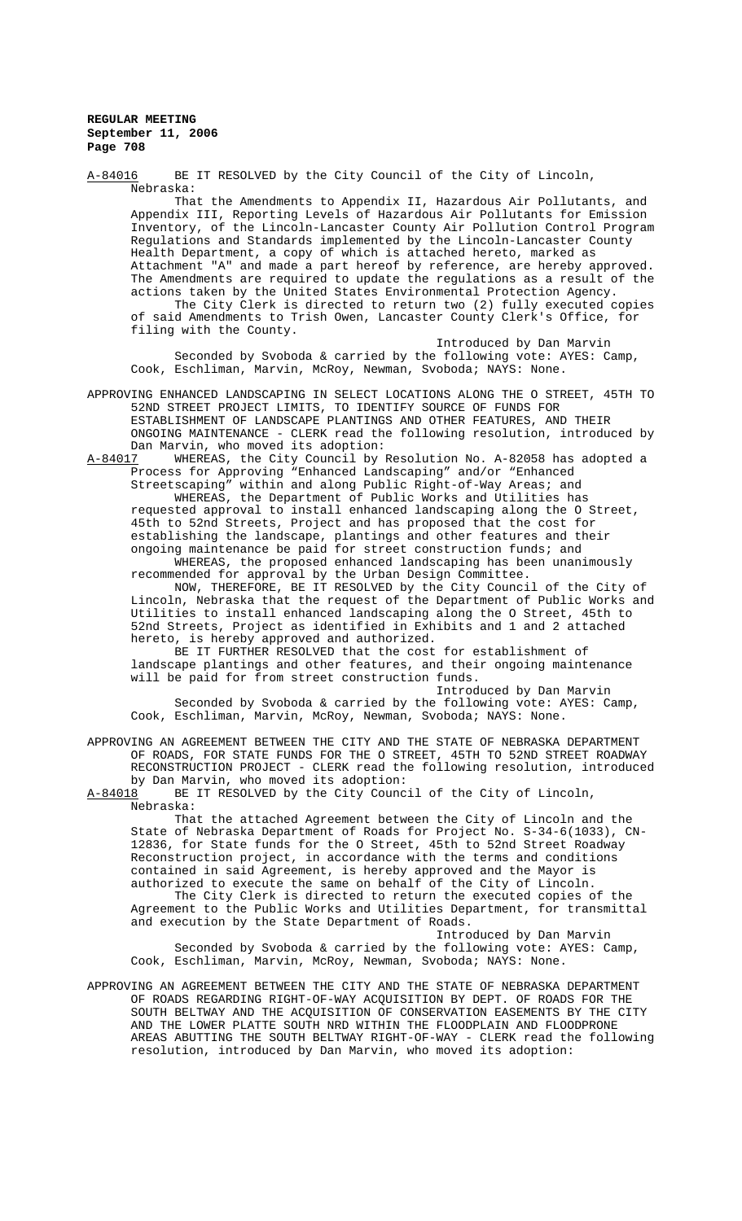A-84016 BE IT RESOLVED by the City Council of the City of Lincoln, Nebraska: That the Amendments to Appendix II, Hazardous Air Pollutants, and Appendix III, Reporting Levels of Hazardous Air Pollutants for Emission Inventory, of the Lincoln-Lancaster County Air Pollution Control Program Regulations and Standards implemented by the Lincoln-Lancaster County Health Department, a copy of which is attached hereto, marked as Attachment "A" and made a part hereof by reference, are hereby approved. The Amendments are required to update the regulations as a result of the actions taken by the United States Environmental Protection Agency. The City Clerk is directed to return two (2) fully executed copies of said Amendments to Trish Owen, Lancaster County Clerk's Office, for filing with the County. Introduced by Dan Marvin Seconded by Svoboda & carried by the following vote: AYES: Camp, Cook, Eschliman, Marvin, McRoy, Newman, Svoboda; NAYS: None.

APPROVING ENHANCED LANDSCAPING IN SELECT LOCATIONS ALONG THE O STREET, 45TH TO 52ND STREET PROJECT LIMITS, TO IDENTIFY SOURCE OF FUNDS FOR ESTABLISHMENT OF LANDSCAPE PLANTINGS AND OTHER FEATURES, AND THEIR ONGOING MAINTENANCE - CLERK read the following resolution, introduced by Dan Marvin, who moved its adoption:

A-84017 WHEREAS, the City Council by Resolution No. A-82058 has adopted a Process for Approving "Enhanced Landscaping" and/or "Enhanced Streetscaping" within and along Public Right-of-Way Areas; and WHEREAS, the Department of Public Works and Utilities has requested approval to install enhanced landscaping along the O Street, 45th to 52nd Streets, Project and has proposed that the cost for establishing the landscape, plantings and other features and their ongoing maintenance be paid for street construction funds; and WHEREAS, the proposed enhanced landscaping has been unanimously recommended for approval by the Urban Design Committee.

NOW, THEREFORE, BE IT RESOLVED by the City Council of the City of Lincoln, Nebraska that the request of the Department of Public Works and Utilities to install enhanced landscaping along the O Street, 45th to 52nd Streets, Project as identified in Exhibits and 1 and 2 attached hereto, is hereby approved and authorized.

BE IT FURTHER RESOLVED that the cost for establishment of landscape plantings and other features, and their ongoing maintenance will be paid for from street construction funds.

Introduced by Dan Marvin

Seconded by Svoboda & carried by the following vote: AYES: Camp, Cook, Eschliman, Marvin, McRoy, Newman, Svoboda; NAYS: None.

APPROVING AN AGREEMENT BETWEEN THE CITY AND THE STATE OF NEBRASKA DEPARTMENT OF ROADS, FOR STATE FUNDS FOR THE O STREET, 45TH TO 52ND STREET ROADWAY RECONSTRUCTION PROJECT - CLERK read the following resolution, introduced by Dan Marvin, who moved its adoption:<br>A-84018 BE IT RESOLVED by the City Counc

BE IT RESOLVED by the City Council of the City of Lincoln, Nebraska:

That the attached Agreement between the City of Lincoln and the State of Nebraska Department of Roads for Project No. S-34-6(1033), CN-12836, for State funds for the O Street, 45th to 52nd Street Roadway Reconstruction project, in accordance with the terms and conditions contained in said Agreement, is hereby approved and the Mayor is authorized to execute the same on behalf of the City of Lincoln.

The City Clerk is directed to return the executed copies of the Agreement to the Public Works and Utilities Department, for transmittal and execution by the State Department of Roads.

Introduced by Dan Marvin Seconded by Svoboda & carried by the following vote: AYES: Camp, Cook, Eschliman, Marvin, McRoy, Newman, Svoboda; NAYS: None.

APPROVING AN AGREEMENT BETWEEN THE CITY AND THE STATE OF NEBRASKA DEPARTMENT OF ROADS REGARDING RIGHT-OF-WAY ACQUISITION BY DEPT. OF ROADS FOR THE SOUTH BELTWAY AND THE ACQUISITION OF CONSERVATION EASEMENTS BY THE CITY AND THE LOWER PLATTE SOUTH NRD WITHIN THE FLOODPLAIN AND FLOODPRONE AREAS ABUTTING THE SOUTH BELTWAY RIGHT-OF-WAY - CLERK read the following resolution, introduced by Dan Marvin, who moved its adoption: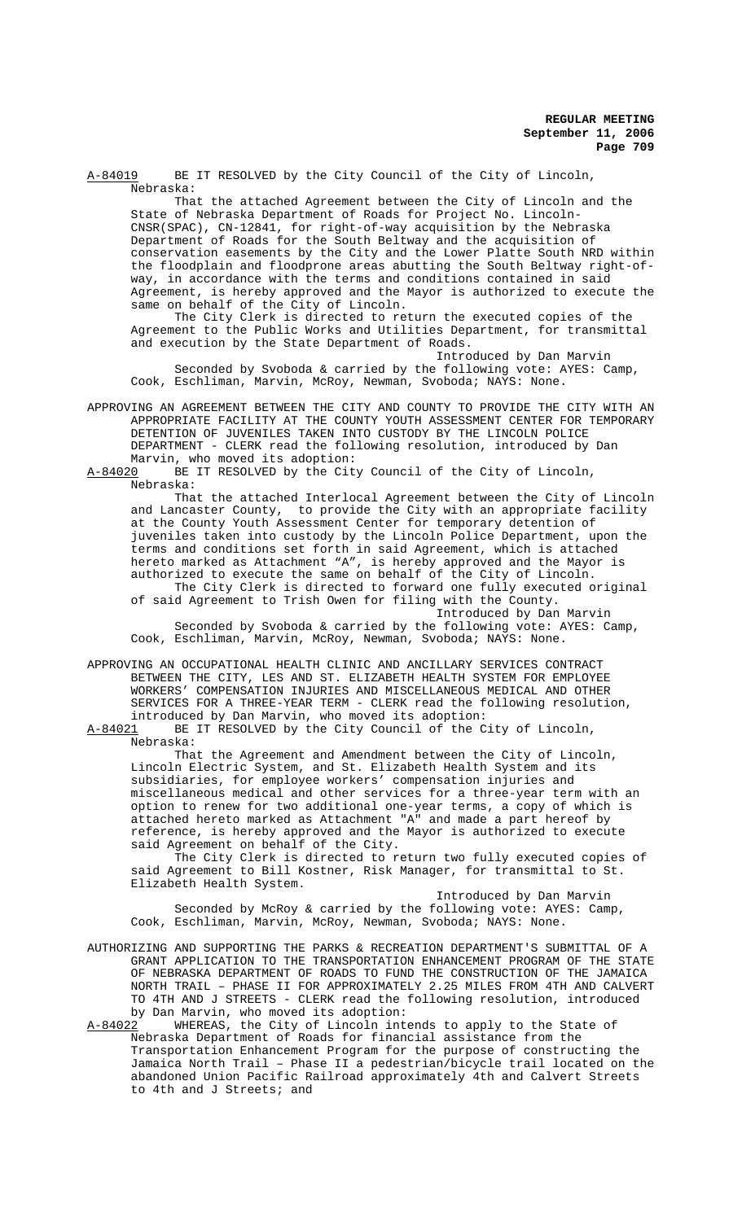A-84019 BE IT RESOLVED by the City Council of the City of Lincoln, Nebraska:

That the attached Agreement between the City of Lincoln and the State of Nebraska Department of Roads for Project No. Lincoln-CNSR(SPAC), CN-12841, for right-of-way acquisition by the Nebraska Department of Roads for the South Beltway and the acquisition of conservation easements by the City and the Lower Platte South NRD within the floodplain and floodprone areas abutting the South Beltway right-ofway, in accordance with the terms and conditions contained in said Agreement, is hereby approved and the Mayor is authorized to execute the same on behalf of the City of Lincoln.

The City Clerk is directed to return the executed copies of the Agreement to the Public Works and Utilities Department, for transmittal and execution by the State Department of Roads.

Introduced by Dan Marvin Seconded by Svoboda & carried by the following vote: AYES: Camp, Cook, Eschliman, Marvin, McRoy, Newman, Svoboda; NAYS: None.

APPROVING AN AGREEMENT BETWEEN THE CITY AND COUNTY TO PROVIDE THE CITY WITH AN APPROPRIATE FACILITY AT THE COUNTY YOUTH ASSESSMENT CENTER FOR TEMPORARY DETENTION OF JUVENILES TAKEN INTO CUSTODY BY THE LINCOLN POLICE DEPARTMENT - CLERK read the following resolution, introduced by Dan Marvin, who moved its adoption:<br>A-84020 BE IT RESOLVED by the Cit

BE IT RESOLVED by the City Council of the City of Lincoln, Nebraska:

That the attached Interlocal Agreement between the City of Lincoln and Lancaster County, to provide the City with an appropriate facility at the County Youth Assessment Center for temporary detention of juveniles taken into custody by the Lincoln Police Department, upon the terms and conditions set forth in said Agreement, which is attached hereto marked as Attachment "A", is hereby approved and the Mayor is authorized to execute the same on behalf of the City of Lincoln. The City Clerk is directed to forward one fully executed original of said Agreement to Trish Owen for filing with the County.

Introduced by Dan Marvin

Seconded by Svoboda & carried by the following vote: AYES: Camp, Cook, Eschliman, Marvin, McRoy, Newman, Svoboda; NAYS: None.

APPROVING AN OCCUPATIONAL HEALTH CLINIC AND ANCILLARY SERVICES CONTRACT BETWEEN THE CITY, LES AND ST. ELIZABETH HEALTH SYSTEM FOR EMPLOYEE WORKERS' COMPENSATION INJURIES AND MISCELLANEOUS MEDICAL AND OTHER SERVICES FOR A THREE-YEAR TERM - CLERK read the following resolution, introduced by Dan Marvin, who moved its adoption:<br>A-84021 BE IT RESOLVED by the City Council of the C

BE IT RESOLVED by the City Council of the City of Lincoln, Nebraska:

That the Agreement and Amendment between the City of Lincoln, Lincoln Electric System, and St. Elizabeth Health System and its subsidiaries, for employee workers' compensation injuries and miscellaneous medical and other services for a three-year term with an option to renew for two additional one-year terms, a copy of which is attached hereto marked as Attachment "A" and made a part hereof by reference, is hereby approved and the Mayor is authorized to execute said Agreement on behalf of the City.

The City Clerk is directed to return two fully executed copies of said Agreement to Bill Kostner, Risk Manager, for transmittal to St. Elizabeth Health System.

Introduced by Dan Marvin Seconded by McRoy & carried by the following vote: AYES: Camp, Cook, Eschliman, Marvin, McRoy, Newman, Svoboda; NAYS: None.

AUTHORIZING AND SUPPORTING THE PARKS & RECREATION DEPARTMENT'S SUBMITTAL OF A GRANT APPLICATION TO THE TRANSPORTATION ENHANCEMENT PROGRAM OF THE STATE OF NEBRASKA DEPARTMENT OF ROADS TO FUND THE CONSTRUCTION OF THE JAMAICA NORTH TRAIL – PHASE II FOR APPROXIMATELY 2.25 MILES FROM 4TH AND CALVERT TO 4TH AND J STREETS - CLERK read the following resolution, introduced by Dan Marvin, who moved its adoption:

A-84022 WHEREAS, the City of Lincoln intends to apply to the State of Nebraska Department of Roads for financial assistance from the Transportation Enhancement Program for the purpose of constructing the Jamaica North Trail – Phase II a pedestrian/bicycle trail located on the abandoned Union Pacific Railroad approximately 4th and Calvert Streets to 4th and J Streets; and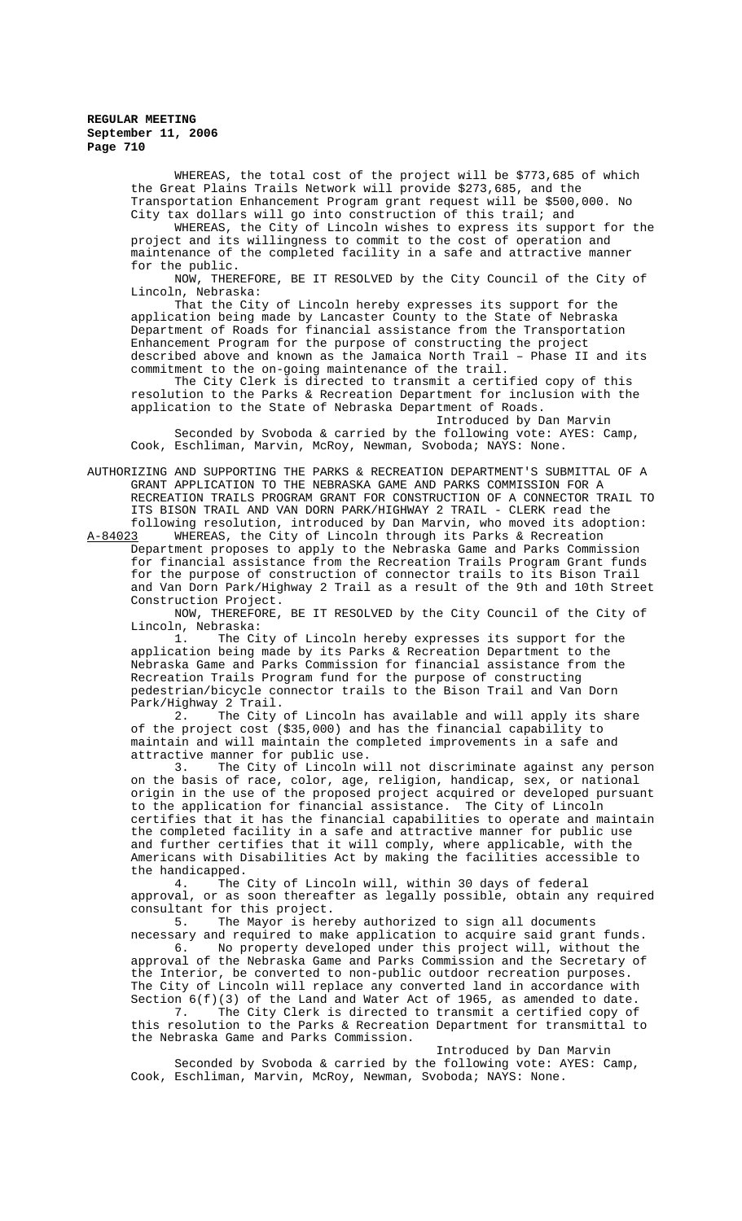WHEREAS, the total cost of the project will be \$773,685 of which the Great Plains Trails Network will provide \$273,685, and the Transportation Enhancement Program grant request will be \$500,000. No City tax dollars will go into construction of this trail; and

 WHEREAS, the City of Lincoln wishes to express its support for the project and its willingness to commit to the cost of operation and maintenance of the completed facility in a safe and attractive manner for the public.

NOW, THEREFORE, BE IT RESOLVED by the City Council of the City of Lincoln, Nebraska:

That the City of Lincoln hereby expresses its support for the application being made by Lancaster County to the State of Nebraska Department of Roads for financial assistance from the Transportation Enhancement Program for the purpose of constructing the project described above and known as the Jamaica North Trail – Phase II and its commitment to the on-going maintenance of the trail.

The City Clerk is directed to transmit a certified copy of this resolution to the Parks & Recreation Department for inclusion with the application to the State of Nebraska Department of Roads.

Introduced by Dan Marvin Seconded by Svoboda & carried by the following vote: AYES: Camp, Cook, Eschliman, Marvin, McRoy, Newman, Svoboda; NAYS: None.

AUTHORIZING AND SUPPORTING THE PARKS & RECREATION DEPARTMENT'S SUBMITTAL OF A GRANT APPLICATION TO THE NEBRASKA GAME AND PARKS COMMISSION FOR A RECREATION TRAILS PROGRAM GRANT FOR CONSTRUCTION OF A CONNECTOR TRAIL TO ITS BISON TRAIL AND VAN DORN PARK/HIGHWAY 2 TRAIL - CLERK read the following resolution, introduced by Dan Marvin, who moved its adoption:

WHEREAS, the City of Lincoln through its Parks & Recreation Department proposes to apply to the Nebraska Game and Parks Commission for financial assistance from the Recreation Trails Program Grant funds for the purpose of construction of connector trails to its Bison Trail and Van Dorn Park/Highway 2 Trail as a result of the 9th and 10th Street Construction Project.

NOW, THEREFORE, BE IT RESOLVED by the City Council of the City of Lincoln, Nebraska:

1. The City of Lincoln hereby expresses its support for the application being made by its Parks & Recreation Department to the Nebraska Game and Parks Commission for financial assistance from the Recreation Trails Program fund for the purpose of constructing pedestrian/bicycle connector trails to the Bison Trail and Van Dorn Park/Highway 2 Trail.<br>2. The City

The City of Lincoln has available and will apply its share of the project cost (\$35,000) and has the financial capability to maintain and will maintain the completed improvements in a safe and attractive manner for public use.

3. The City of Lincoln will not discriminate against any person on the basis of race, color, age, religion, handicap, sex, or national origin in the use of the proposed project acquired or developed pursuant to the application for financial assistance. The City of Lincoln certifies that it has the financial capabilities to operate and maintain the completed facility in a safe and attractive manner for public use and further certifies that it will comply, where applicable, with the Americans with Disabilities Act by making the facilities accessible to the handicapped.<br>4. The

The City of Lincoln will, within 30 days of federal approval, or as soon thereafter as legally possible, obtain any required consultant for this project.<br>5. The Mayor is here

The Mayor is hereby authorized to sign all documents necessary and required to make application to acquire said grant funds.

6. No property developed under this project will, without the approval of the Nebraska Game and Parks Commission and the Secretary of the Interior, be converted to non-public outdoor recreation purposes. The City of Lincoln will replace any converted land in accordance with Section  $6(f)(3)$  of the Land and Water Act of 1965, as amended to date.<br>7. The City Clerk is directed to transmit a certified copy of

The City Clerk is directed to transmit a certified copy of this resolution to the Parks & Recreation Department for transmittal to the Nebraska Game and Parks Commission.

Introduced by Dan Marvin Seconded by Svoboda & carried by the following vote: AYES: Camp, Cook, Eschliman, Marvin, McRoy, Newman, Svoboda; NAYS: None.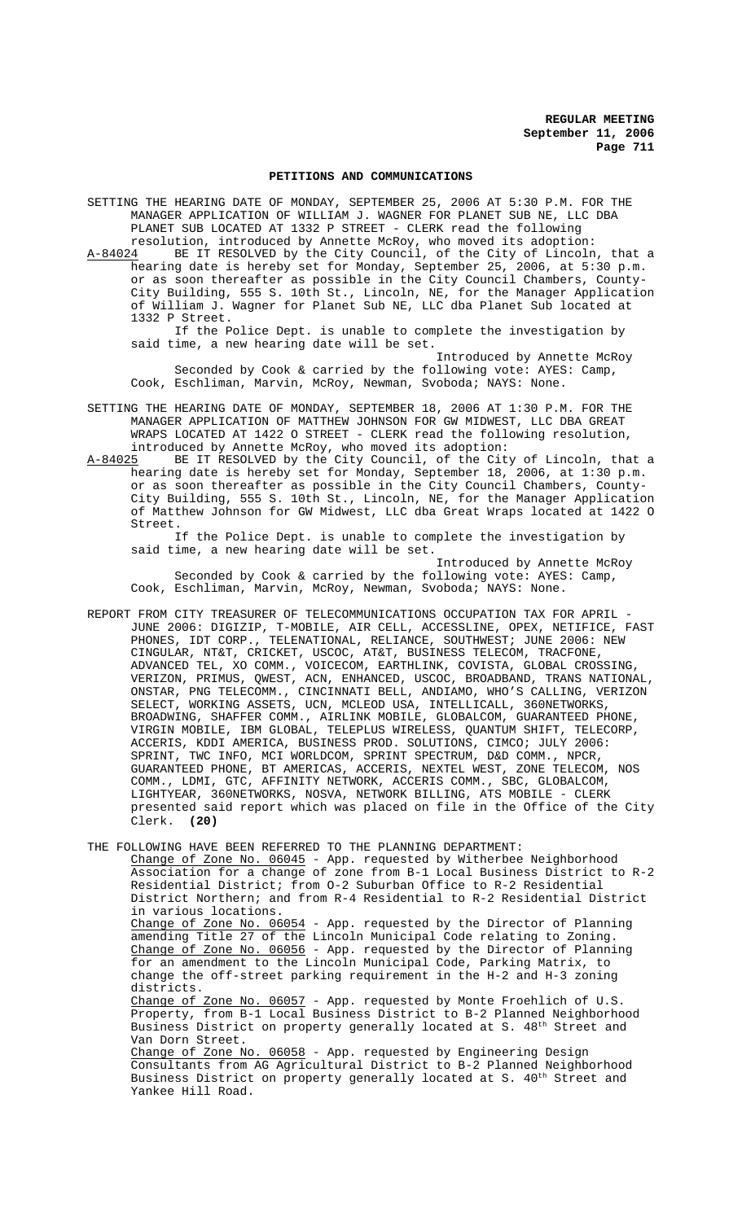### **PETITIONS AND COMMUNICATIONS**

SETTING THE HEARING DATE OF MONDAY, SEPTEMBER 25, 2006 AT 5:30 P.M. FOR THE MANAGER APPLICATION OF WILLIAM J. WAGNER FOR PLANET SUB NE, LLC DBA PLANET SUB LOCATED AT 1332 P STREET - CLERK read the following

resolution, introduced by Annette McRoy, who moved its adoption:<br>A-84024 BE IT RESOLVED by the City Council, of the City of Lincoln A-84024 BE IT RESOLVED by the City Council, of the City of Lincoln, that a hearing date is hereby set for Monday, September 25, 2006, at 5:30 p.m. or as soon thereafter as possible in the City Council Chambers, County-City Building, 555 S. 10th St., Lincoln, NE, for the Manager Application of William J. Wagner for Planet Sub NE, LLC dba Planet Sub located at 1332 P Street.

If the Police Dept. is unable to complete the investigation by said time, a new hearing date will be set.

Introduced by Annette McRoy Seconded by Cook & carried by the following vote: AYES: Camp, Cook, Eschliman, Marvin, McRoy, Newman, Svoboda; NAYS: None.

SETTING THE HEARING DATE OF MONDAY, SEPTEMBER 18, 2006 AT 1:30 P.M. FOR THE MANAGER APPLICATION OF MATTHEW JOHNSON FOR GW MIDWEST, LLC DBA GREAT WRAPS LOCATED AT 1422 O STREET - CLERK read the following resolution, introduced by Annette McRoy, who moved its adoption:

A-84025 BE IT RESOLVED by the City Council, of the City of Lincoln, that a hearing date is hereby set for Monday, September 18, 2006, at 1:30 p.m. or as soon thereafter as possible in the City Council Chambers, County-City Building, 555 S. 10th St., Lincoln, NE, for the Manager Application of Matthew Johnson for GW Midwest, LLC dba Great Wraps located at 1422 O Street.

If the Police Dept. is unable to complete the investigation by said time, a new hearing date will be set.

Introduced by Annette McRoy Seconded by Cook & carried by the following vote: AYES: Camp, Cook, Eschliman, Marvin, McRoy, Newman, Svoboda; NAYS: None.

REPORT FROM CITY TREASURER OF TELECOMMUNICATIONS OCCUPATION TAX FOR APRIL - JUNE 2006: DIGIZIP, T-MOBILE, AIR CELL, ACCESSLINE, OPEX, NETIFICE, FAST PHONES, IDT CORP., TELENATIONAL, RELIANCE, SOUTHWEST; JUNE 2006: NEW CINGULAR, NT&T, CRICKET, USCOC, AT&T, BUSINESS TELECOM, TRACFONE, ADVANCED TEL, XO COMM., VOICECOM, EARTHLINK, COVISTA, GLOBAL CROSSING, VERIZON, PRIMUS, QWEST, ACN, ENHANCED, USCOC, BROADBAND, TRANS NATIONAL, ONSTAR, PNG TELECOMM., CINCINNATI BELL, ANDIAMO, WHO'S CALLING, VERIZON SELECT, WORKING ASSETS, UCN, MCLEOD USA, INTELLICALL, 360NETWORKS, BROADWING, SHAFFER COMM., AIRLINK MOBILE, GLOBALCOM, GUARANTEED PHONE, VIRGIN MOBILE, IBM GLOBAL, TELEPLUS WIRELESS, QUANTUM SHIFT, TELECORP, ACCERIS, KDDI AMERICA, BUSINESS PROD. SOLUTIONS, CIMCO; JULY 2006: SPRINT, TWC INFO, MCI WORLDCOM, SPRINT SPECTRUM, D&D COMM., NPCR, GUARANTEED PHONE, BT AMERICAS, ACCERIS, NEXTEL WEST, ZONE TELECOM, NOS COMM., LDMI, GTC, AFFINITY NETWORK, ACCERIS COMM., SBC, GLOBALCOM, LIGHTYEAR, 360NETWORKS, NOSVA, NETWORK BILLING, ATS MOBILE - CLERK presented said report which was placed on file in the Office of the City Clerk. **(20)**

THE FOLLOWING HAVE BEEN REFERRED TO THE PLANNING DEPARTMENT:

Change of Zone No. 06045 - App. requested by Witherbee Neighborhood Association for a change of zone from B-1 Local Business District to R-2 Residential District; from O-2 Suburban Office to R-2 Residential District Northern; and from R-4 Residential to R-2 Residential District in various locations. Change of Zone No. 06054 - App. requested by the Director of Planning amending Title 27 of the Lincoln Municipal Code relating to Zoning. Change of Zone No. 06056 - App. requested by the Director of Planning for an amendment to the Lincoln Municipal Code, Parking Matrix, to change the off-street parking requirement in the H-2 and H-3 zoning districts. Change of Zone No. 06057 - App. requested by Monte Froehlich of U.S. Property, from B-1 Local Business District to B-2 Planned Neighborhood Business District on property generally located at S. 48<sup>th</sup> Street and Van Dorn Street. Change of Zone No. 06058 - App. requested by Engineering Design Consultants from AG Agricultural District to B-2 Planned Neighborhood

Business District on property generally located at S. 40<sup>th</sup> Street and Yankee Hill Road.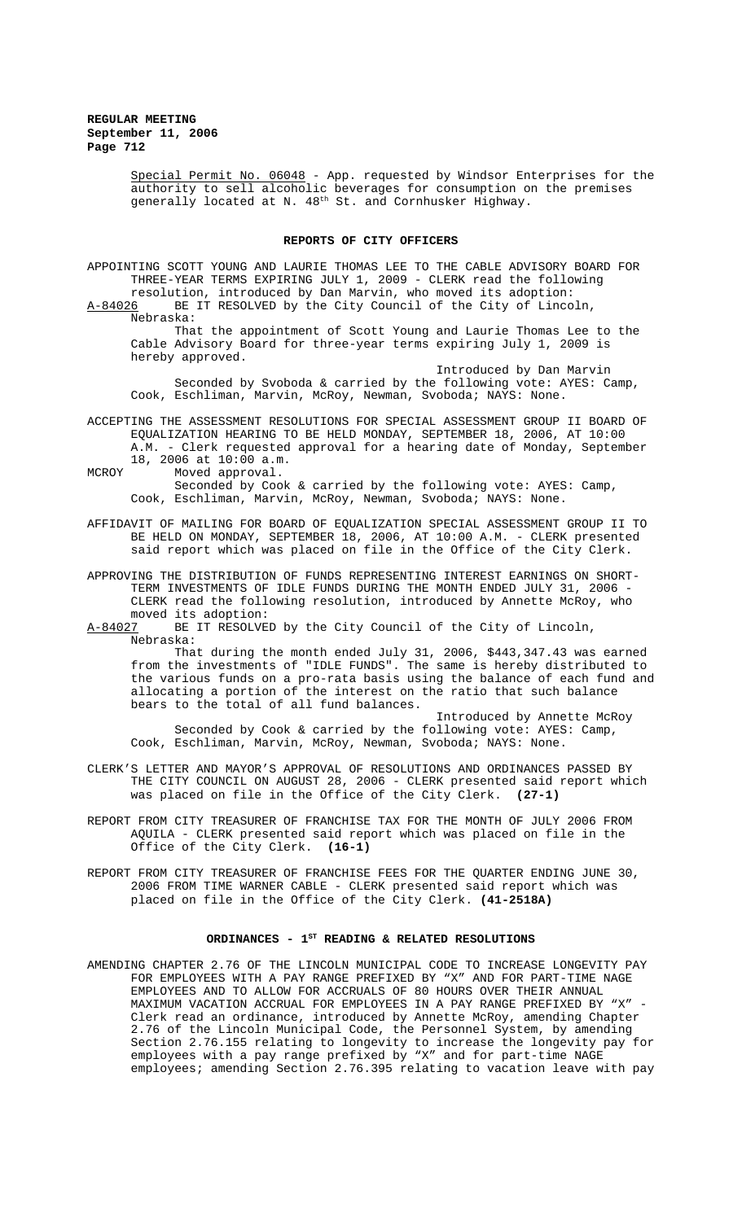Special Permit No. 06048 - App. requested by Windsor Enterprises for the authority to sell alcoholic beverages for consumption on the premises generally located at N. 48<sup>th</sup> St. and Cornhusker Highway.

## **REPORTS OF CITY OFFICERS**

APPOINTING SCOTT YOUNG AND LAURIE THOMAS LEE TO THE CABLE ADVISORY BOARD FOR THREE-YEAR TERMS EXPIRING JULY 1, 2009 - CLERK read the following resolution, introduced by Dan Marvin, who moved its adoption:<br>A-84026 BE IT RESOLVED by the City Council of the City of Linco

BE IT RESOLVED by the City Council of the City of Lincoln, Nebraska:

That the appointment of Scott Young and Laurie Thomas Lee to the Cable Advisory Board for three-year terms expiring July 1, 2009 is hereby approved.

Introduced by Dan Marvin Seconded by Svoboda & carried by the following vote: AYES: Camp,

Cook, Eschliman, Marvin, McRoy, Newman, Svoboda; NAYS: None. ACCEPTING THE ASSESSMENT RESOLUTIONS FOR SPECIAL ASSESSMENT GROUP II BOARD OF

EQUALIZATION HEARING TO BE HELD MONDAY, SEPTEMBER 18, 2006, AT 10:00 A.M. - Clerk requested approval for a hearing date of Monday, September 18, 2006 at 10:00 a.m.

MCROY Moved approval.

Seconded by Cook & carried by the following vote: AYES: Camp, Cook, Eschliman, Marvin, McRoy, Newman, Svoboda; NAYS: None.

AFFIDAVIT OF MAILING FOR BOARD OF EQUALIZATION SPECIAL ASSESSMENT GROUP II TO BE HELD ON MONDAY, SEPTEMBER 18, 2006, AT 10:00 A.M. - CLERK presented said report which was placed on file in the Office of the City Clerk.

APPROVING THE DISTRIBUTION OF FUNDS REPRESENTING INTEREST EARNINGS ON SHORT-TERM INVESTMENTS OF IDLE FUNDS DURING THE MONTH ENDED JULY 31, 2006 -CLERK read the following resolution, introduced by Annette McRoy, who moved its adoption:<br>A-84027 BE IT RESOLVE

BE IT RESOLVED by the City Council of the City of Lincoln, Nebraska:

That during the month ended July 31, 2006, \$443,347.43 was earned from the investments of "IDLE FUNDS". The same is hereby distributed to the various funds on a pro-rata basis using the balance of each fund and allocating a portion of the interest on the ratio that such balance bears to the total of all fund balances.

Introduced by Annette McRoy Seconded by Cook & carried by the following vote: AYES: Camp, Cook, Eschliman, Marvin, McRoy, Newman, Svoboda; NAYS: None.

- CLERK'S LETTER AND MAYOR'S APPROVAL OF RESOLUTIONS AND ORDINANCES PASSED BY THE CITY COUNCIL ON AUGUST 28, 2006 - CLERK presented said report which was placed on file in the Office of the City Clerk. **(27-1)**
- REPORT FROM CITY TREASURER OF FRANCHISE TAX FOR THE MONTH OF JULY 2006 FROM AQUILA - CLERK presented said report which was placed on file in the Office of the City Clerk. **(16-1)**
- REPORT FROM CITY TREASURER OF FRANCHISE FEES FOR THE QUARTER ENDING JUNE 30, 2006 FROM TIME WARNER CABLE - CLERK presented said report which was placed on file in the Office of the City Clerk. **(41-2518A)**

### ORDINANCES -  $1^{ST}$  READING & RELATED RESOLUTIONS

AMENDING CHAPTER 2.76 OF THE LINCOLN MUNICIPAL CODE TO INCREASE LONGEVITY PAY FOR EMPLOYEES WITH A PAY RANGE PREFIXED BY "X" AND FOR PART-TIME NAGE EMPLOYEES AND TO ALLOW FOR ACCRUALS OF 80 HOURS OVER THEIR ANNUAL MAXIMUM VACATION ACCRUAL FOR EMPLOYEES IN A PAY RANGE PREFIXED BY "X" - Clerk read an ordinance, introduced by Annette McRoy, amending Chapter 2.76 of the Lincoln Municipal Code, the Personnel System, by amending Section 2.76.155 relating to longevity to increase the longevity pay for employees with a pay range prefixed by "X" and for part-time NAGE employees; amending Section 2.76.395 relating to vacation leave with pay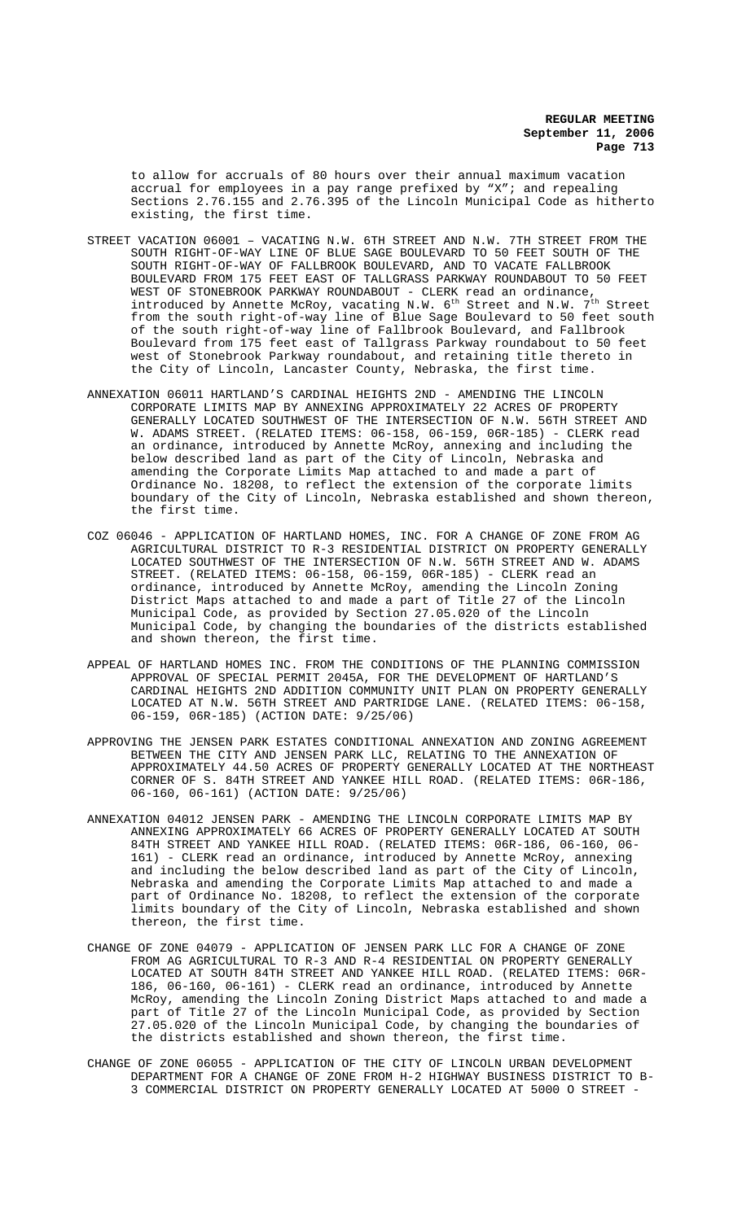to allow for accruals of 80 hours over their annual maximum vacation accrual for employees in a pay range prefixed by "X"; and repealing Sections 2.76.155 and 2.76.395 of the Lincoln Municipal Code as hitherto existing, the first time.

- STREET VACATION 06001 VACATING N.W. 6TH STREET AND N.W. 7TH STREET FROM THE SOUTH RIGHT-OF-WAY LINE OF BLUE SAGE BOULEVARD TO 50 FEET SOUTH OF THE SOUTH RIGHT-OF-WAY OF FALLBROOK BOULEVARD, AND TO VACATE FALLBROOK BOULEVARD FROM 175 FEET EAST OF TALLGRASS PARKWAY ROUNDABOUT TO 50 FEET WEST OF STONEBROOK PARKWAY ROUNDABOUT - CLERK read an ordinance, introduced by Annette McRoy, vacating N.W.  $6^{\text{th}}$  Street and N.W.  $7^{\text{th}}$  Street from the south right-of-way line of Blue Sage Boulevard to 50 feet south of the south right-of-way line of Fallbrook Boulevard, and Fallbrook Boulevard from 175 feet east of Tallgrass Parkway roundabout to 50 feet west of Stonebrook Parkway roundabout, and retaining title thereto in the City of Lincoln, Lancaster County, Nebraska, the first time.
- ANNEXATION 06011 HARTLAND'S CARDINAL HEIGHTS 2ND AMENDING THE LINCOLN CORPORATE LIMITS MAP BY ANNEXING APPROXIMATELY 22 ACRES OF PROPERTY GENERALLY LOCATED SOUTHWEST OF THE INTERSECTION OF N.W. 56TH STREET AND W. ADAMS STREET. (RELATED ITEMS: 06-158, 06-159, 06R-185) - CLERK read an ordinance, introduced by Annette McRoy, annexing and including the below described land as part of the City of Lincoln, Nebraska and amending the Corporate Limits Map attached to and made a part of Ordinance No. 18208, to reflect the extension of the corporate limits boundary of the City of Lincoln, Nebraska established and shown thereon, the first time.
- COZ 06046 APPLICATION OF HARTLAND HOMES, INC. FOR A CHANGE OF ZONE FROM AG AGRICULTURAL DISTRICT TO R-3 RESIDENTIAL DISTRICT ON PROPERTY GENERALLY LOCATED SOUTHWEST OF THE INTERSECTION OF N.W. 56TH STREET AND W. ADAMS STREET. (RELATED ITEMS: 06-158, 06-159, 06R-185) - CLERK read an ordinance, introduced by Annette McRoy, amending the Lincoln Zoning District Maps attached to and made a part of Title 27 of the Lincoln Municipal Code, as provided by Section 27.05.020 of the Lincoln Municipal Code, by changing the boundaries of the districts established and shown thereon, the first time.
- APPEAL OF HARTLAND HOMES INC. FROM THE CONDITIONS OF THE PLANNING COMMISSION APPROVAL OF SPECIAL PERMIT 2045A, FOR THE DEVELOPMENT OF HARTLAND'S CARDINAL HEIGHTS 2ND ADDITION COMMUNITY UNIT PLAN ON PROPERTY GENERALLY LOCATED AT N.W. 56TH STREET AND PARTRIDGE LANE. (RELATED ITEMS: 06-158, 06-159, 06R-185) (ACTION DATE: 9/25/06)
- APPROVING THE JENSEN PARK ESTATES CONDITIONAL ANNEXATION AND ZONING AGREEMENT BETWEEN THE CITY AND JENSEN PARK LLC, RELATING TO THE ANNEXATION OF APPROXIMATELY 44.50 ACRES OF PROPERTY GENERALLY LOCATED AT THE NORTHEAST CORNER OF S. 84TH STREET AND YANKEE HILL ROAD. (RELATED ITEMS: 06R-186, 06-160, 06-161) (ACTION DATE: 9/25/06)
- ANNEXATION 04012 JENSEN PARK AMENDING THE LINCOLN CORPORATE LIMITS MAP BY ANNEXING APPROXIMATELY 66 ACRES OF PROPERTY GENERALLY LOCATED AT SOUTH 84TH STREET AND YANKEE HILL ROAD. (RELATED ITEMS: 06R-186, 06-160, 06-161) - CLERK read an ordinance, introduced by Annette McRoy, annexing and including the below described land as part of the City of Lincoln, Nebraska and amending the Corporate Limits Map attached to and made a part of Ordinance No. 18208, to reflect the extension of the corporate limits boundary of the City of Lincoln, Nebraska established and shown thereon, the first time.
- CHANGE OF ZONE 04079 APPLICATION OF JENSEN PARK LLC FOR A CHANGE OF ZONE FROM AG AGRICULTURAL TO R-3 AND R-4 RESIDENTIAL ON PROPERTY GENERALLY LOCATED AT SOUTH 84TH STREET AND YANKEE HILL ROAD. (RELATED ITEMS: 06R-186, 06-160, 06-161) - CLERK read an ordinance, introduced by Annette McRoy, amending the Lincoln Zoning District Maps attached to and made a part of Title 27 of the Lincoln Municipal Code, as provided by Section 27.05.020 of the Lincoln Municipal Code, by changing the boundaries of the districts established and shown thereon, the first time.
- CHANGE OF ZONE 06055 APPLICATION OF THE CITY OF LINCOLN URBAN DEVELOPMENT DEPARTMENT FOR A CHANGE OF ZONE FROM H-2 HIGHWAY BUSINESS DISTRICT TO B-3 COMMERCIAL DISTRICT ON PROPERTY GENERALLY LOCATED AT 5000 O STREET -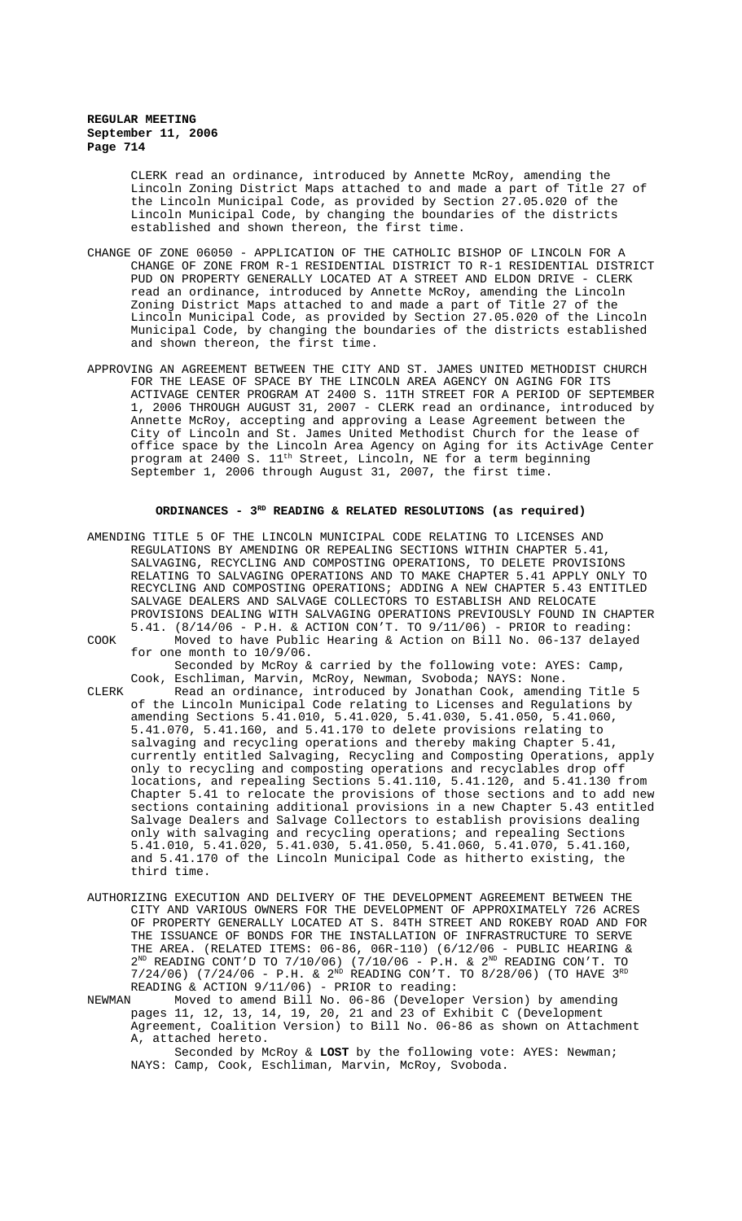CLERK read an ordinance, introduced by Annette McRoy, amending the Lincoln Zoning District Maps attached to and made a part of Title 27 of the Lincoln Municipal Code, as provided by Section 27.05.020 of the Lincoln Municipal Code, by changing the boundaries of the districts established and shown thereon, the first time.

- CHANGE OF ZONE 06050 APPLICATION OF THE CATHOLIC BISHOP OF LINCOLN FOR A CHANGE OF ZONE FROM R-1 RESIDENTIAL DISTRICT TO R-1 RESIDENTIAL DISTRICT PUD ON PROPERTY GENERALLY LOCATED AT A STREET AND ELDON DRIVE - CLERK read an ordinance, introduced by Annette McRoy, amending the Lincoln Zoning District Maps attached to and made a part of Title 27 of the Lincoln Municipal Code, as provided by Section 27.05.020 of the Lincoln Municipal Code, by changing the boundaries of the districts established and shown thereon, the first time.
- APPROVING AN AGREEMENT BETWEEN THE CITY AND ST. JAMES UNITED METHODIST CHURCH FOR THE LEASE OF SPACE BY THE LINCOLN AREA AGENCY ON AGING FOR ITS ACTIVAGE CENTER PROGRAM AT 2400 S. 11TH STREET FOR A PERIOD OF SEPTEMBER 1, 2006 THROUGH AUGUST 31, 2007 - CLERK read an ordinance, introduced by Annette McRoy, accepting and approving a Lease Agreement between the City of Lincoln and St. James United Methodist Church for the lease of office space by the Lincoln Area Agency on Aging for its ActivAge Center program at 2400 S. 11<sup>th</sup> Street, Lincoln, NE for a term beginning September 1, 2006 through August 31, 2007, the first time.

# ORDINANCES - 3<sup>RD</sup> READING & RELATED RESOLUTIONS (as required)

- AMENDING TITLE 5 OF THE LINCOLN MUNICIPAL CODE RELATING TO LICENSES AND REGULATIONS BY AMENDING OR REPEALING SECTIONS WITHIN CHAPTER 5.41, SALVAGING, RECYCLING AND COMPOSTING OPERATIONS, TO DELETE PROVISIONS RELATING TO SALVAGING OPERATIONS AND TO MAKE CHAPTER 5.41 APPLY ONLY TO RECYCLING AND COMPOSTING OPERATIONS; ADDING A NEW CHAPTER 5.43 ENTITLED SALVAGE DEALERS AND SALVAGE COLLECTORS TO ESTABLISH AND RELOCATE PROVISIONS DEALING WITH SALVAGING OPERATIONS PREVIOUSLY FOUND IN CHAPTER 5.41. (8/14/06 - P.H. & ACTION CON'T. TO 9/11/06) - PRIOR to reading: COOK Moved to have Public Hearing & Action on Bill No. 06-137 delayed for one month to 10/9/06. Seconded by McRoy & carried by the following vote: AYES: Camp,
- Cook, Eschliman, Marvin, McRoy, Newman, Svoboda; NAYS: None. CLERK Read an ordinance, introduced by Jonathan Cook, amending Title 5 of the Lincoln Municipal Code relating to Licenses and Regulations by amending Sections 5.41.010, 5.41.020, 5.41.030, 5.41.050, 5.41.060, amending beccrons strates, it is delete provisions relating to 5.41.070, 5.41.160, and 5.41.170 to delete provisions relating to salvaging and recycling operations and thereby making Chapter 5.41, currently entitled Salvaging, Recycling and Composting Operations, apply only to recycling and composting operations and recyclables drop off locations, and repealing Sections 5.41.110, 5.41.120, and 5.41.130 from Chapter 5.41 to relocate the provisions of those sections and to add new sections containing additional provisions in a new Chapter 5.43 entitled Salvage Dealers and Salvage Collectors to establish provisions dealing only with salvaging and recycling operations; and repealing Sections 5.41.010, 5.41.020, 5.41.030, 5.41.050, 5.41.060, 5.41.070, 5.41.160, and 5.41.170 of the Lincoln Municipal Code as hitherto existing, the third time.
- AUTHORIZING EXECUTION AND DELIVERY OF THE DEVELOPMENT AGREEMENT BETWEEN THE CITY AND VARIOUS OWNERS FOR THE DEVELOPMENT OF APPROXIMATELY 726 ACRES OF PROPERTY GENERALLY LOCATED AT S. 84TH STREET AND ROKEBY ROAD AND FOR THE ISSUANCE OF BONDS FOR THE INSTALLATION OF INFRASTRUCTURE TO SERVE THE AREA. (RELATED ITEMS: 06-86, 06R-110) (6/12/06 - PUBLIC HEARING &  $2^{ND}$  READING CONT'D TO 7/10/06) (7/10/06 - P.H. &  $2^{ND}$  READING CON'T. TO  $7/24/06$ ) (7/24/06 - P.H. & 2<sup>ND</sup> READING CON'T. TO 8/28/06) (TO HAVE 3<sup>RD</sup> READING & ACTION  $9/11/06$ ) - PRIOR to reading:<br>NEWMAN Moved to amend Bill No. 06-86 (Develope)
- Moved to amend Bill No. 06-86 (Developer Version) by amending pages 11, 12, 13, 14, 19, 20, 21 and 23 of Exhibit C (Development Agreement, Coalition Version) to Bill No. 06-86 as shown on Attachment A, attached hereto.

Seconded by McRoy & **LOST** by the following vote: AYES: Newman; NAYS: Camp, Cook, Eschliman, Marvin, McRoy, Svoboda.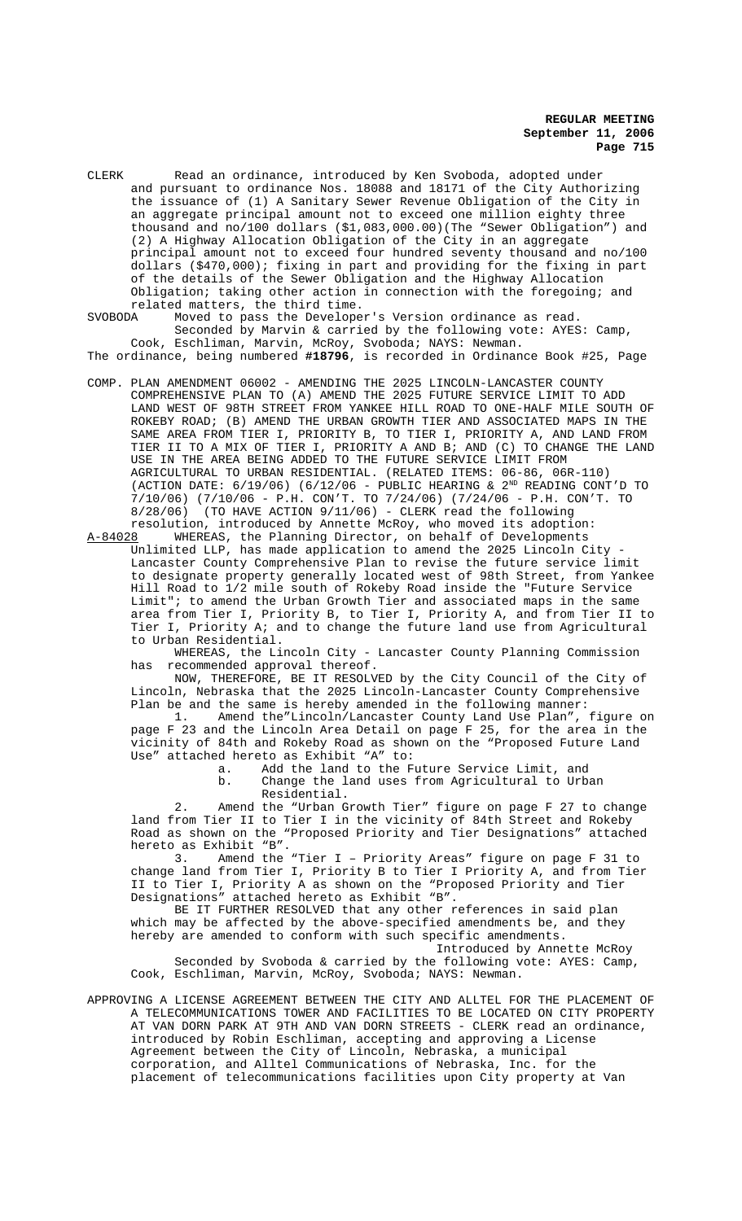CLERK Read an ordinance, introduced by Ken Svoboda, adopted under and pursuant to ordinance Nos. 18088 and 18171 of the City Authorizing the issuance of (1) A Sanitary Sewer Revenue Obligation of the City in an aggregate principal amount not to exceed one million eighty three thousand and no/100 dollars (\$1,083,000.00)(The "Sewer Obligation") and (2) A Highway Allocation Obligation of the City in an aggregate principal amount not to exceed four hundred seventy thousand and no/100 dollars (\$470,000); fixing in part and providing for the fixing in part of the details of the Sewer Obligation and the Highway Allocation Obligation; taking other action in connection with the foregoing; and related matters, the third time.<br>SVOBODA Moved to pass the Develope

Moved to pass the Developer's Version ordinance as read. Seconded by Marvin & carried by the following vote: AYES: Camp, Cook, Eschliman, Marvin, McRoy, Svoboda; NAYS: Newman.

The ordinance, being numbered **#18796**, is recorded in Ordinance Book #25, Page

COMP. PLAN AMENDMENT 06002 - AMENDING THE 2025 LINCOLN-LANCASTER COUNTY COMPREHENSIVE PLAN TO (A) AMEND THE 2025 FUTURE SERVICE LIMIT TO ADD LAND WEST OF 98TH STREET FROM YANKEE HILL ROAD TO ONE-HALF MILE SOUTH OF ROKEBY ROAD; (B) AMEND THE URBAN GROWTH TIER AND ASSOCIATED MAPS IN THE SAME AREA FROM TIER I, PRIORITY B, TO TIER I, PRIORITY A, AND LAND FROM TIER II TO A MIX OF TIER I, PRIORITY A AND B; AND (C) TO CHANGE THE LAND USE IN THE AREA BEING ADDED TO THE FUTURE SERVICE LIMIT FROM AGRICULTURAL TO URBAN RESIDENTIAL. (RELATED ITEMS: 06-86, 06R-110) (ACTION DATE:  $6/19/06$ ) ( $6/12/06$  - PUBLIC HEARING &  $2^{ND}$  READING CONT'D TO 7/10/06) (7/10/06 - P.H. CON'T. TO 7/24/06) (7/24/06 - P.H. CON'T. TO  $8/28/06$ ) (TO HAVE ACTION  $9/11/06$ ) - CLERK read the following

resolution, introduced by Annette McRoy, who moved its adoption:<br>A-84028 WHEREAS, the Planning Director, on behalf of Developments WHEREAS, the Planning Director, on behalf of Developments Unlimited LLP, has made application to amend the 2025 Lincoln City - Lancaster County Comprehensive Plan to revise the future service limit to designate property generally located west of 98th Street, from Yankee Hill Road to 1/2 mile south of Rokeby Road inside the "Future Service Limit"; to amend the Urban Growth Tier and associated maps in the same area from Tier I, Priority B, to Tier I, Priority A, and from Tier II to Tier I, Priority A; and to change the future land use from Agricultural to Urban Residential.

WHEREAS, the Lincoln City - Lancaster County Planning Commission has recommended approval thereof.

NOW, THEREFORE, BE IT RESOLVED by the City Council of the City of Lincoln, Nebraska that the 2025 Lincoln-Lancaster County Comprehensive Plan be and the same is hereby amended in the following manner:

1. Amend the"Lincoln/Lancaster County Land Use Plan", figure on page F 23 and the Lincoln Area Detail on page F 25, for the area in the vicinity of 84th and Rokeby Road as shown on the "Proposed Future Land Use" attached hereto as Exhibit "A" to:

a. Add the land to the Future Service Limit, and

b. Change the land uses from Agricultural to Urban Residential.

2. Amend the "Urban Growth Tier" figure on page F 27 to change land from Tier II to Tier I in the vicinity of 84th Street and Rokeby Road as shown on the "Proposed Priority and Tier Designations" attached hereto as Exhibit "B".

3. Amend the "Tier I – Priority Areas" figure on page F 31 to change land from Tier I, Priority B to Tier I Priority A, and from Tier II to Tier I, Priority A as shown on the "Proposed Priority and Tier Designations" attached hereto as Exhibit "B".

BE IT FURTHER RESOLVED that any other references in said plan which may be affected by the above-specified amendments be, and they hereby are amended to conform with such specific amendments. Introduced by Annette McRoy

Seconded by Svoboda & carried by the following vote: AYES: Camp, Cook, Eschliman, Marvin, McRoy, Svoboda; NAYS: Newman.

APPROVING A LICENSE AGREEMENT BETWEEN THE CITY AND ALLTEL FOR THE PLACEMENT OF A TELECOMMUNICATIONS TOWER AND FACILITIES TO BE LOCATED ON CITY PROPERTY AT VAN DORN PARK AT 9TH AND VAN DORN STREETS - CLERK read an ordinance, introduced by Robin Eschliman, accepting and approving a License Agreement between the City of Lincoln, Nebraska, a municipal corporation, and Alltel Communications of Nebraska, Inc. for the placement of telecommunications facilities upon City property at Van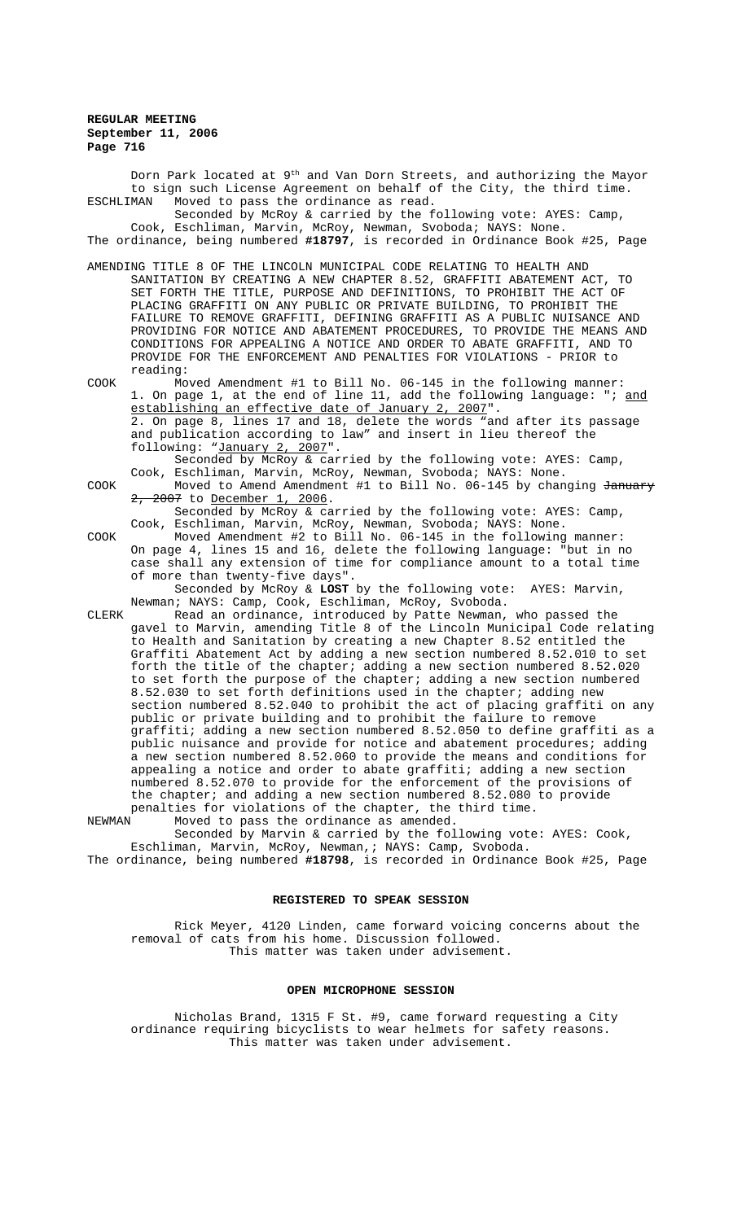Dorn Park located at  $9<sup>th</sup>$  and Van Dorn Streets, and authorizing the Mayor to sign such License Agreement on behalf of the City, the third time. ESCHLIMAN Moved to pass the ordinance as read. Seconded by McRoy & carried by the following vote: AYES: Camp, Cook, Eschliman, Marvin, McRoy, Newman, Svoboda; NAYS: None. The ordinance, being numbered **#18797**, is recorded in Ordinance Book #25, Page AMENDING TITLE 8 OF THE LINCOLN MUNICIPAL CODE RELATING TO HEALTH AND SANITATION BY CREATING A NEW CHAPTER 8.52, GRAFFITI ABATEMENT ACT, TO SET FORTH THE TITLE, PURPOSE AND DEFINITIONS, TO PROHIBIT THE ACT OF PLACING GRAFFITI ON ANY PUBLIC OR PRIVATE BUILDING, TO PROHIBIT THE FAILURE TO REMOVE GRAFFITI, DEFINING GRAFFITI AS A PUBLIC NUISANCE AND PROVIDING FOR NOTICE AND ABATEMENT PROCEDURES, TO PROVIDE THE MEANS AND CONDITIONS FOR APPEALING A NOTICE AND ORDER TO ABATE GRAFFITI, AND TO PROVIDE FOR THE ENFORCEMENT AND PENALTIES FOR VIOLATIONS - PRIOR to reading: COOK Moved Amendment #1 to Bill No. 06-145 in the following manner: 1. On page 1, at the end of line 11, add the following language: "; <u>and</u> establishing an effective date of January 2, 2007". 2. On page 8, lines 17 and 18, delete the words "and after its passage and publication according to law" and insert in lieu thereof the following: "January 2, 2007". Seconded by McRoy & carried by the following vote: AYES: Camp, Cook, Eschliman, Marvin, McRoy, Newman, Svoboda; NAYS: None. COOK Moved to Amend Amendment #1 to Bill No. 06-145 by changing <del>January</del> 2, 2007 to December 1, 2006. Seconded by McRoy & carried by the following vote: AYES: Camp, Cook, Eschliman, Marvin, McRoy, Newman, Svoboda; NAYS: None. COOK Moved Amendment #2 to Bill No. 06-145 in the following manner: On page 4, lines 15 and 16, delete the following language: "but in no case shall any extension of time for compliance amount to a total time of more than twenty-five days". Seconded by McRoy & **LOST** by the following vote: AYES: Marvin, Newman; NAYS: Camp, Cook, Eschliman, McRoy, Svoboda. CLERK Read an ordinance, introduced by Patte Newman, who passed the gavel to Marvin, amending Title 8 of the Lincoln Municipal Code relating to Health and Sanitation by creating a new Chapter 8.52 entitled the Graffiti Abatement Act by adding a new section numbered 8.52.010 to set forth the title of the chapter; adding a new section numbered 8.52.020 to set forth the purpose of the chapter; adding a new section numbered 8.52.030 to set forth definitions used in the chapter; adding new section numbered 8.52.040 to prohibit the act of placing graffiti on any

public or private building and to prohibit the failure to remove graffiti; adding a new section numbered 8.52.050 to define graffiti as a public nuisance and provide for notice and abatement procedures; adding a new section numbered 8.52.060 to provide the means and conditions for appealing a notice and order to abate graffiti; adding a new section numbered 8.52.070 to provide for the enforcement of the provisions of the chapter; and adding a new section numbered 8.52.080 to provide penalties for violations of the chapter, the third time.<br>NEWMAN Moved to pass the ordinance as amended.

Moved to pass the ordinance as amended. Seconded by Marvin & carried by the following vote: AYES: Cook, Eschliman, Marvin, McRoy, Newman,; NAYS: Camp, Svoboda.

The ordinance, being numbered **#18798**, is recorded in Ordinance Book #25, Page

# **REGISTERED TO SPEAK SESSION**

Rick Meyer, 4120 Linden, came forward voicing concerns about the removal of cats from his home. Discussion followed. This matter was taken under advisement.

### **OPEN MICROPHONE SESSION**

Nicholas Brand, 1315 F St. #9, came forward requesting a City ordinance requiring bicyclists to wear helmets for safety reasons. This matter was taken under advisement.